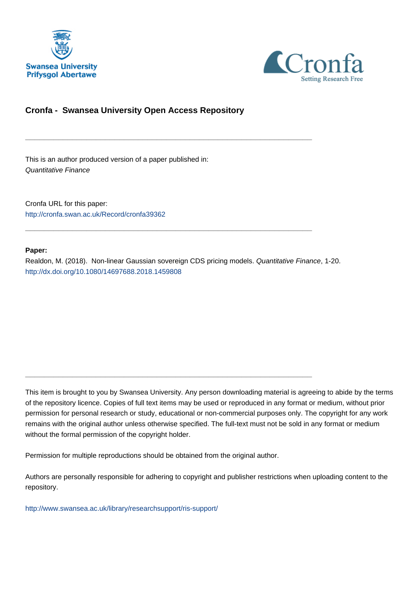



## **Cronfa - Swansea University Open Access Repository**

\_\_\_\_\_\_\_\_\_\_\_\_\_\_\_\_\_\_\_\_\_\_\_\_\_\_\_\_\_\_\_\_\_\_\_\_\_\_\_\_\_\_\_\_\_\_\_\_\_\_\_\_\_\_\_\_\_\_\_\_\_

\_\_\_\_\_\_\_\_\_\_\_\_\_\_\_\_\_\_\_\_\_\_\_\_\_\_\_\_\_\_\_\_\_\_\_\_\_\_\_\_\_\_\_\_\_\_\_\_\_\_\_\_\_\_\_\_\_\_\_\_\_

 $\_$  , and the set of the set of the set of the set of the set of the set of the set of the set of the set of the set of the set of the set of the set of the set of the set of the set of the set of the set of the set of th

This is an author produced version of a paper published in: Quantitative Finance

Cronfa URL for this paper: <http://cronfa.swan.ac.uk/Record/cronfa39362>

#### **Paper:**

Realdon, M. (2018). Non-linear Gaussian sovereign CDS pricing models. Quantitative Finance, 1-20. <http://dx.doi.org/10.1080/14697688.2018.1459808>

This item is brought to you by Swansea University. Any person downloading material is agreeing to abide by the terms of the repository licence. Copies of full text items may be used or reproduced in any format or medium, without prior permission for personal research or study, educational or non-commercial purposes only. The copyright for any work remains with the original author unless otherwise specified. The full-text must not be sold in any format or medium without the formal permission of the copyright holder.

Permission for multiple reproductions should be obtained from the original author.

Authors are personally responsible for adhering to copyright and publisher restrictions when uploading content to the repository.

[http://www.swansea.ac.uk/library/researchsupport/ris-support/](http://www.swansea.ac.uk/library/researchsupport/ris-support/ )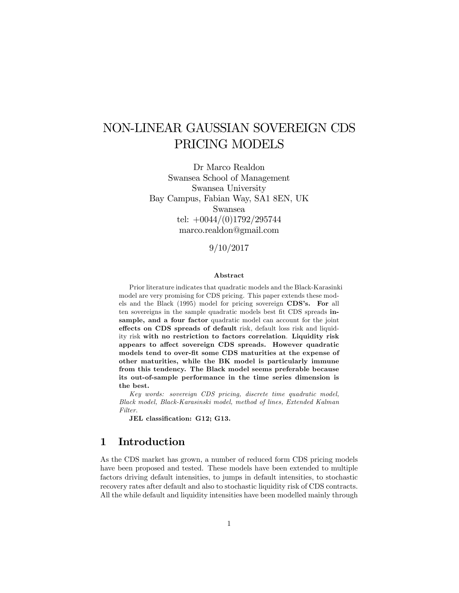# NON-LINEAR GAUSSIAN SOVEREIGN CDS PRICING MODELS

Dr Marco Realdon Swansea School of Management Swansea University Bay Campus, Fabian Way, SA1 8EN, UK Swansea tel:  $+0044/(0)1792/295744$ marco.realdon@gmail.com

9/10/2017

#### Abstract

Prior literature indicates that quadratic models and the Black-Karasinki model are very promising for CDS pricing. This paper extends these models and the Black (1995) model for pricing sovereign CDS's. For all ten sovereigns in the sample quadratic models best fit CDS spreads insample, and a four factor quadratic model can account for the joint effects on CDS spreads of default risk, default loss risk and liquidity risk with no restriction to factors correlation. Liquidity risk appears to affect sovereign CDS spreads. However quadratic models tend to over-fit some CDS maturities at the expense of other maturities, while the BK model is particularly immune from this tendency. The Black model seems preferable because its out-of-sample performance in the time series dimension is the best.

Key words: sovereign CDS pricing, discrete time quadratic model, Black model, Black-Karasinski model, method of lines, Extended Kalman Filter.

JEL classification: G12; G13.

## 1 Introduction

As the CDS market has grown, a number of reduced form CDS pricing models have been proposed and tested. These models have been extended to multiple factors driving default intensities, to jumps in default intensities, to stochastic recovery rates after default and also to stochastic liquidity risk of CDS contracts. All the while default and liquidity intensities have been modelled mainly through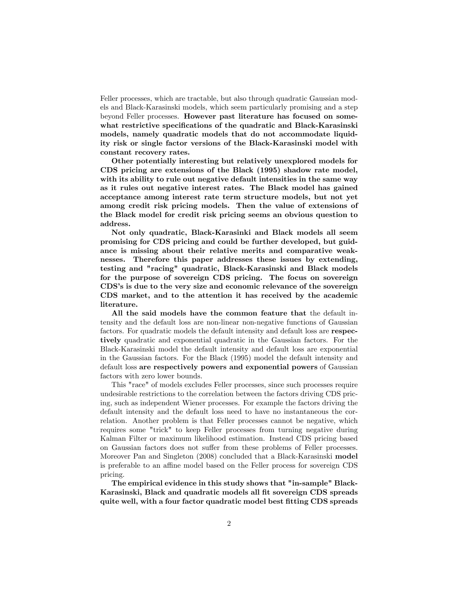Feller processes, which are tractable, but also through quadratic Gaussian models and Black-Karasinski models, which seem particularly promising and a step beyond Feller processes. However past literature has focused on somewhat restrictive specifications of the quadratic and Black-Karasinski models, namely quadratic models that do not accommodate liquidity risk or single factor versions of the Black-Karasinski model with constant recovery rates.

Other potentially interesting but relatively unexplored models for CDS pricing are extensions of the Black (1995) shadow rate model, with its ability to rule out negative default intensities in the same way as it rules out negative interest rates. The Black model has gained acceptance among interest rate term structure models, but not yet among credit risk pricing models. Then the value of extensions of the Black model for credit risk pricing seems an obvious question to address.

Not only quadratic, Black-Karasinki and Black models all seem promising for CDS pricing and could be further developed, but guidance is missing about their relative merits and comparative weaknesses. Therefore this paper addresses these issues by extending, testing and "racing" quadratic, Black-Karasinski and Black models for the purpose of sovereign CDS pricing. The focus on sovereign CDS's is due to the very size and economic relevance of the sovereign CDS market, and to the attention it has received by the academic literature.

All the said models have the common feature that the default intensity and the default loss are non-linear non-negative functions of Gaussian factors. For quadratic models the default intensity and default loss are respectively quadratic and exponential quadratic in the Gaussian factors. For the Black-Karasinski model the default intensity and default loss are exponential in the Gaussian factors. For the Black (1995) model the default intensity and default loss are respectively powers and exponential powers of Gaussian factors with zero lower bounds.

This "race" of models excludes Feller processes, since such processes require undesirable restrictions to the correlation between the factors driving CDS pricing, such as independent Wiener processes. For example the factors driving the default intensity and the default loss need to have no instantaneous the correlation. Another problem is that Feller processes cannot be negative, which requires some "trick" to keep Feller processes from turning negative during Kalman Filter or maximum likelihood estimation. Instead CDS pricing based on Gaussian factors does not suffer from these problems of Feller processes. Moreover Pan and Singleton (2008) concluded that a Black-Karasinski model is preferable to an affine model based on the Feller process for sovereign CDS pricing.

The empirical evidence in this study shows that "in-sample" Black-Karasinski, Black and quadratic models all fit sovereign CDS spreads quite well, with a four factor quadratic model best fitting CDS spreads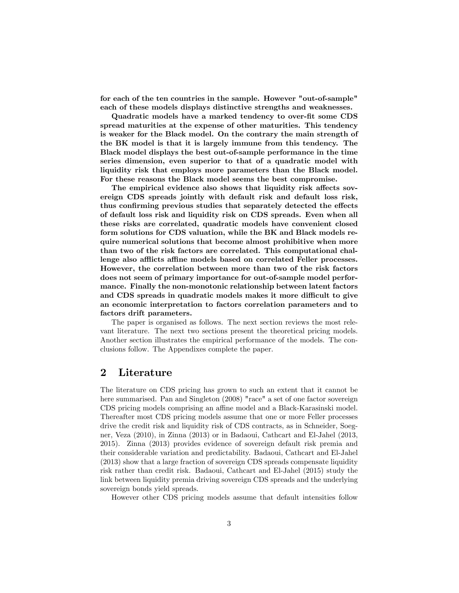for each of the ten countries in the sample. However "out-of-sample" each of these models displays distinctive strengths and weaknesses.

Quadratic models have a marked tendency to over-fit some CDS spread maturities at the expense of other maturities. This tendency is weaker for the Black model. On the contrary the main strength of the BK model is that it is largely immune from this tendency. The Black model displays the best out-of-sample performance in the time series dimension, even superior to that of a quadratic model with liquidity risk that employs more parameters than the Black model. For these reasons the Black model seems the best compromise.

The empirical evidence also shows that liquidity risk affects sovereign CDS spreads jointly with default risk and default loss risk, thus confirming previous studies that separately detected the effects of default loss risk and liquidity risk on CDS spreads. Even when all these risks are correlated, quadratic models have convenient closed form solutions for CDS valuation, while the BK and Black models require numerical solutions that become almost prohibitive when more than two of the risk factors are correlated. This computational challenge also afflicts affine models based on correlated Feller processes. However, the correlation between more than two of the risk factors does not seem of primary importance for out-of-sample model performance. Finally the non-monotonic relationship between latent factors and CDS spreads in quadratic models makes it more difficult to give an economic interpretation to factors correlation parameters and to factors drift parameters.

The paper is organised as follows. The next section reviews the most relevant literature. The next two sections present the theoretical pricing models. Another section illustrates the empirical performance of the models. The conclusions follow. The Appendixes complete the paper.

### 2 Literature

The literature on CDS pricing has grown to such an extent that it cannot be here summarised. Pan and Singleton (2008) "race" a set of one factor sovereign CDS pricing models comprising an affine model and a Black-Karasinski model. Thereafter most CDS pricing models assume that one or more Feller processes drive the credit risk and liquidity risk of CDS contracts, as in Schneider, Soegner, Veza (2010), in Zinna (2013) or in Badaoui, Cathcart and El-Jahel (2013, 2015). Zinna (2013) provides evidence of sovereign default risk premia and their considerable variation and predictability. Badaoui, Cathcart and El-Jahel (2013) show that a large fraction of sovereign CDS spreads compensate liquidity risk rather than credit risk. Badaoui, Cathcart and El-Jahel (2015) study the link between liquidity premia driving sovereign CDS spreads and the underlying sovereign bonds yield spreads.

However other CDS pricing models assume that default intensities follow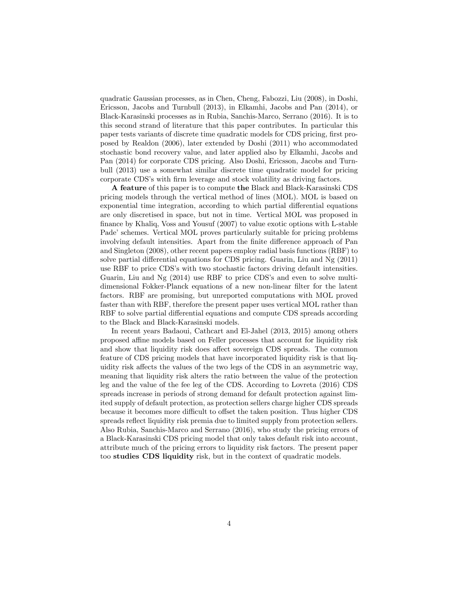quadratic Gaussian processes, as in Chen, Cheng, Fabozzi, Liu (2008), in Doshi, Ericsson, Jacobs and Turnbull (2013), in Elkamhi, Jacobs and Pan (2014), or Black-Karasinski processes as in Rubia, Sanchis-Marco, Serrano (2016). It is to this second strand of literature that this paper contributes. In particular this paper tests variants of discrete time quadratic models for CDS pricing, first proposed by Realdon (2006), later extended by Doshi (2011) who accommodated stochastic bond recovery value, and later applied also by Elkamhi, Jacobs and Pan (2014) for corporate CDS pricing. Also Doshi, Ericsson, Jacobs and Turnbull (2013) use a somewhat similar discrete time quadratic model for pricing corporate CDSís with Örm leverage and stock volatility as driving factors.

A feature of this paper is to compute the Black and Black-Karasinski CDS pricing models through the vertical method of lines (MOL). MOL is based on exponential time integration, according to which partial differential equations are only discretised in space, but not in time. Vertical MOL was proposed in finance by Khaliq, Voss and Yousuf (2007) to value exotic options with L-stable Pade' schemes. Vertical MOL proves particularly suitable for pricing problems involving default intensities. Apart from the finite difference approach of Pan and Singleton (2008), other recent papers employ radial basis functions (RBF) to solve partial differential equations for CDS pricing. Guarin, Liu and Ng  $(2011)$ use RBF to price CDS's with two stochastic factors driving default intensities. Guarin, Liu and Ng  $(2014)$  use RBF to price CDS's and even to solve multidimensional Fokker-Planck equations of a new non-linear filter for the latent factors. RBF are promising, but unreported computations with MOL proved faster than with RBF, therefore the present paper uses vertical MOL rather than RBF to solve partial differential equations and compute CDS spreads according to the Black and Black-Karasinski models.

In recent years Badaoui, Cathcart and El-Jahel (2013, 2015) among others proposed affine models based on Feller processes that account for liquidity risk and show that liquidity risk does affect sovereign CDS spreads. The common feature of CDS pricing models that have incorporated liquidity risk is that liquidity risk affects the values of the two legs of the CDS in an asymmetric way, meaning that liquidity risk alters the ratio between the value of the protection leg and the value of the fee leg of the CDS. According to Lovreta (2016) CDS spreads increase in periods of strong demand for default protection against limited supply of default protection, as protection sellers charge higher CDS spreads because it becomes more difficult to offset the taken position. Thus higher CDS spreads reflect liquidity risk premia due to limited supply from protection sellers. Also Rubia, Sanchis-Marco and Serrano (2016), who study the pricing errors of a Black-Karasinski CDS pricing model that only takes default risk into account, attribute much of the pricing errors to liquidity risk factors. The present paper too studies CDS liquidity risk, but in the context of quadratic models.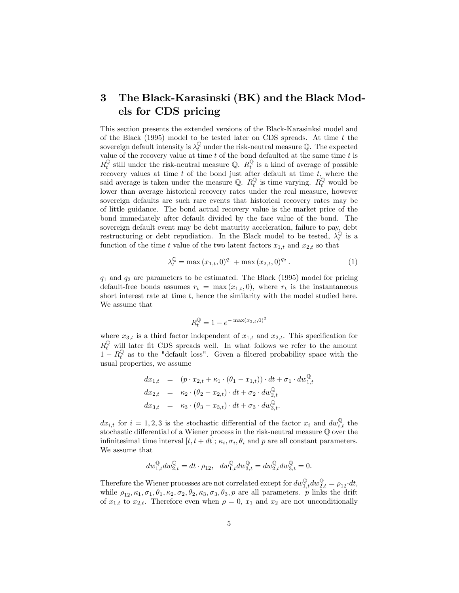## 3 The Black-Karasinski (BK) and the Black Models for CDS pricing

This section presents the extended versions of the Black-Karasinksi model and of the Black (1995) model to be tested later on CDS spreads. At time  $t$  the sovereign default intensity is  $\lambda_t^{\mathbb{Q}}$  under the risk-neutral measure  $\mathbb{Q}$ . The expected value of the recovery value at time  $t$  of the bond defaulted at the same time  $t$  is  $R_t^{\mathbb{Q}}$  still under the risk-neutral measure  $\mathbb{Q}$ .  $R_t^{\mathbb{Q}}$  is a kind of average of possible recovery values at time  $t$  of the bond just after default at time  $t$ , where the said average is taken under the measure Q.  $R_t^{\mathbb{Q}}$  is time varying.  $R_t^{\mathbb{Q}}$  would be lower than average historical recovery rates under the real measure, however sovereign defaults are such rare events that historical recovery rates may be of little guidance. The bond actual recovery value is the market price of the bond immediately after default divided by the face value of the bond. The sovereign default event may be debt maturity acceleration, failure to pay, debt restructuring or debt repudiation. In the Black model to be tested,  $\lambda_t^{\mathbb{Q}}$  is a function of the time t value of the two latent factors  $x_{1,t}$  and  $x_{2,t}$  so that

$$
\lambda_t^{\mathbb{Q}} = \max(x_{1,t}, 0)^{q_1} + \max(x_{2,t}, 0)^{q_2}.
$$
 (1)

 $q_1$  and  $q_2$  are parameters to be estimated. The Black (1995) model for pricing default-free bonds assumes  $r_t = \max(x_{1,t}, 0)$ , where  $r_t$  is the instantaneous short interest rate at time  $t$ , hence the similarity with the model studied here. We assume that

$$
R_t^{\mathbb{Q}} = 1 - e^{-\max(x_{3,t}, 0)^2}
$$

where  $x_{3,t}$  is a third factor independent of  $x_{1,t}$  and  $x_{2,t}$ . This specification for  $R_t^{\mathbb{Q}}$  will later fit CDS spreads well. In what follows we refer to the amount  $1 - R_t^{\mathbb{Q}}$  as to the "default loss". Given a filtered probability space with the usual properties, we assume

$$
dx_{1,t} = (p \cdot x_{2,t} + \kappa_1 \cdot (\theta_1 - x_{1,t})) \cdot dt + \sigma_1 \cdot dw_{1,t}^{\mathbb{Q}}
$$
  
\n
$$
dx_{2,t} = \kappa_2 \cdot (\theta_2 - x_{2,t}) \cdot dt + \sigma_2 \cdot dw_{2,t}^{\mathbb{Q}}
$$
  
\n
$$
dx_{3,t} = \kappa_3 \cdot (\theta_3 - x_{3,t}) \cdot dt + \sigma_3 \cdot dw_{3,t}^{\mathbb{Q}}.
$$

 $dx_{i,t}$  for  $i = 1, 2, 3$  is the stochastic differential of the factor  $x_i$  and  $dw_{i,t}^{\mathbb{Q}}$  the stochastic differential of a Wiener process in the risk-neutral measure  $\mathbb Q$  over the infinitesimal time interval  $[t, t + dt]$ ;  $\kappa_i, \sigma_i, \theta_i$  and p are all constant parameters. We assume that

$$
dw_{1,t}^\mathbb{Q}dw_{2,t}^\mathbb{Q}=dt\cdot\rho_{12},\ \ dw_{1,t}^\mathbb{Q}dw_{3,t}^\mathbb{Q}=dw_{2,t}^\mathbb{Q}dw_{3,t}^\mathbb{Q}=0.
$$

Therefore the Wiener processes are not correlated except for  $dw_{1,t}^{\mathbb{Q}}dw_{2,t}^{\mathbb{Q}} = \rho_{12} \cdot dt$ , while  $\rho_{12}, \kappa_1, \sigma_1, \theta_1, \kappa_2, \sigma_2, \theta_2, \kappa_3, \sigma_3, \theta_3, p$  are all parameters. p links the drift of  $x_{1,t}$  to  $x_{2,t}$ . Therefore even when  $\rho = 0$ ,  $x_1$  and  $x_2$  are not unconditionally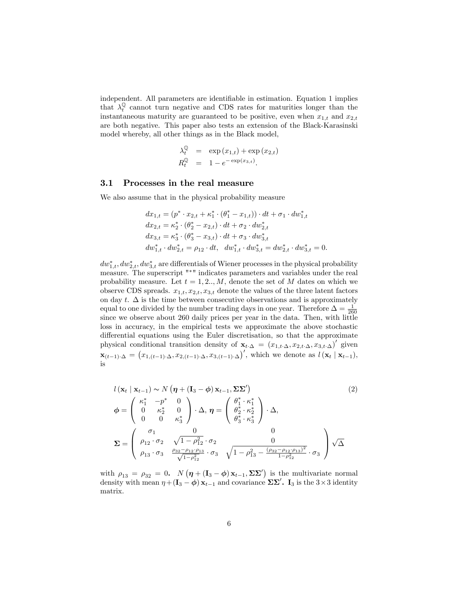independent. All parameters are identifiable in estimation. Equation 1 implies that  $\lambda_t^{\mathbb{Q}}$  cannot turn negative and CDS rates for maturities longer than the instantaneous maturity are guaranteed to be positive, even when  $x_{1,t}$  and  $x_{2,t}$ are both negative. This paper also tests an extension of the Black-Karasinski model whereby, all other things as in the Black model,

$$
\lambda_t^{\mathbb{Q}} = \exp(x_{1,t}) + \exp(x_{2,t})
$$
  

$$
R_t^{\mathbb{Q}} = 1 - e^{-\exp(x_{3,t})}.
$$

#### 3.1 Processes in the real measure

We also assume that in the physical probability measure

$$
dx_{1,t} = (p^* \cdot x_{2,t} + \kappa_1^* \cdot (\theta_1^* - x_{1,t})) \cdot dt + \sigma_1 \cdot dw_{1,t}^*
$$
  
\n
$$
dx_{2,t} = \kappa_2^* \cdot (\theta_2^* - x_{2,t}) \cdot dt + \sigma_2 \cdot dw_{2,t}^*
$$
  
\n
$$
dx_{3,t} = \kappa_3^* \cdot (\theta_3^* - x_{3,t}) \cdot dt + \sigma_3 \cdot dw_{3,t}^*
$$
  
\n
$$
dw_{1,t}^* \cdot dw_{2,t}^* = \rho_{12} \cdot dt, \quad dw_{1,t}^* \cdot dw_{3,t}^* = dw_{2,t}^* \cdot dw_{3,t}^* = 0.
$$

 $dw_{1,t}^*, dw_{2,t}^*, dw_{3,t}^*$  are differentials of Wiener processes in the physical probability measure. The superscript "\*" indicates parameters and variables under the real probability measure. Let  $t = 1, 2, ..., M$ , denote the set of M dates on which we observe CDS spreads.  $x_{1,t}, x_{2,t}, x_{3,t}$  denote the values of the three latent factors on day t.  $\Delta$  is the time between consecutive observations and is approximately equal to one divided by the number trading days in one year. Therefore  $\Delta = \frac{1}{260}$ since we observe about 260 daily prices per year in the data. Then, with little loss in accuracy, in the empirical tests we approximate the above stochastic differential equations using the Euler discretisation, so that the approximate physical conditional transition density of  $\mathbf{x}_{t\cdot\Delta} = (x_{1,t\cdot\Delta}, x_{2,t\cdot\Delta}, x_{3,t\cdot\Delta})'$  given  $\mathbf{x}_{(t-1)\cdot\Delta} = (x_{1,(t-1)\cdot\Delta}, x_{2,(t-1)\cdot\Delta}, x_{3,(t-1)\cdot\Delta})'$ , which we denote as  $l(\mathbf{x}_t | \mathbf{x}_{t-1}),$ is

$$
l(\mathbf{x}_{t} | \mathbf{x}_{t-1}) \sim N(\boldsymbol{\eta} + (\mathbf{I}_{3} - \boldsymbol{\phi}) \mathbf{x}_{t-1}, \boldsymbol{\Sigma} \mathbf{\Sigma}') \qquad (2)
$$
  
\n
$$
\boldsymbol{\phi} = \begin{pmatrix} \kappa_{1}^{*} & -p^{*} & 0 \\ 0 & \kappa_{2}^{*} & 0 \\ 0 & 0 & \kappa_{3}^{*} \end{pmatrix} \cdot \Delta, \boldsymbol{\eta} = \begin{pmatrix} \theta_{1}^{*} \cdot \kappa_{1}^{*} \\ \theta_{2}^{*} \cdot \kappa_{2}^{*} \\ \theta_{3}^{*} \cdot \kappa_{3}^{*} \end{pmatrix} \cdot \Delta,
$$
  
\n
$$
\boldsymbol{\Sigma} = \begin{pmatrix} \sigma_{1} & 0 & 0 \\ \rho_{12} \cdot \sigma_{2} & \sqrt{1 - \rho_{12}^{2}} \cdot \sigma_{2} & 0 \\ \rho_{13} \cdot \sigma_{3} & \frac{\rho_{32} - \rho_{12} \cdot \rho_{13}}{\sqrt{1 - \rho_{12}^{2}}} \cdot \sigma_{3} & \sqrt{1 - \rho_{13}^{2} - \frac{(\rho_{32} - \rho_{12} \cdot \rho_{13})^{2}}{1 - \rho_{12}^{2}}} \cdot \sigma_{3} \end{pmatrix} \sqrt{\Delta}
$$

with  $\rho_{13} = \rho_{32} = 0$ .  $N(\boldsymbol{\eta} + (\mathbf{I}_3 - \boldsymbol{\phi})\mathbf{x}_{t-1}, \boldsymbol{\Sigma}\boldsymbol{\Sigma}')$  is the multivariate normal density with mean  $\eta + (\mathbf{I}_3 - \phi) \mathbf{x}_{t-1}$  and covariance  $\Sigma \Sigma'$ .  $\mathbf{I}_3$  is the  $3 \times 3$  identity matrix.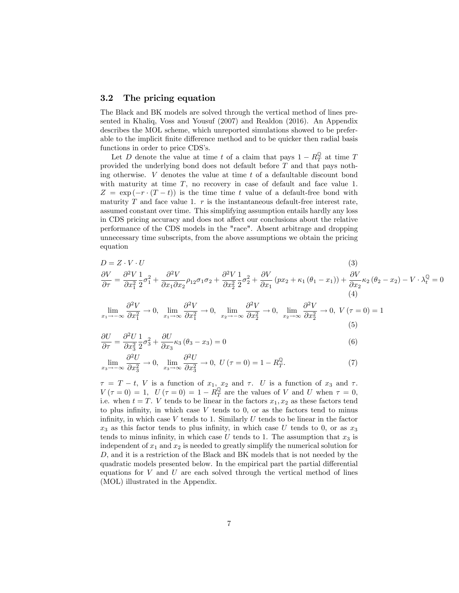#### 3.2 The pricing equation

The Black and BK models are solved through the vertical method of lines presented in Khaliq, Voss and Yousuf (2007) and Realdon (2016). An Appendix describes the MOL scheme, which unreported simulations showed to be preferable to the implicit finite difference method and to be quicker then radial basis functions in order to price CDS's.

Let D denote the value at time t of a claim that pays  $1 - R_T^{\mathbb{Q}}$  at time T provided the underlying bond does not default before T and that pays nothing otherwise.  $V$  denotes the value at time  $t$  of a defaultable discount bond with maturity at time  $T$ , no recovery in case of default and face value 1.  $Z = \exp(-r \cdot (T - t))$  is the time time t value of a default-free bond with maturity  $T$  and face value 1.  $r$  is the instantaneous default-free interest rate, assumed constant over time. This simplifying assumption entails hardly any loss in CDS pricing accuracy and does not affect our conclusions about the relative performance of the CDS models in the "race". Absent arbitrage and dropping unnecessary time subscripts, from the above assumptions we obtain the pricing equation

$$
D = Z \cdot V \cdot U
$$
\n
$$
\frac{\partial V}{\partial \tau} = \frac{\partial^2 V}{\partial x_1^2} \frac{1}{2} \sigma_1^2 + \frac{\partial^2 V}{\partial x_1 \partial x_2} \rho_{12} \sigma_1 \sigma_2 + \frac{\partial^2 V}{\partial x_2^2} \frac{1}{2} \sigma_2^2 + \frac{\partial V}{\partial x_1} (\rho x_2 + \kappa_1 (\theta_1 - x_1)) + \frac{\partial V}{\partial x_2} \kappa_2 (\theta_2 - x_2) - V \cdot \lambda_t^{\mathbb{Q}} = 0
$$
\n
$$
(4)
$$
\n
$$
\lim_{x_1 \to -\infty} \frac{\partial^2 V}{\partial x_1^2} \to 0, \quad \lim_{x_1 \to \infty} \frac{\partial^2 V}{\partial x_1^2} \to 0, \quad \lim_{x_2 \to -\infty} \frac{\partial^2 V}{\partial x_2^2} \to 0, \quad \lim_{x_2 \to \infty} \frac{\partial^2 V}{\partial x_2^2} \to 0, \quad V(\tau = 0) = 1
$$
\n
$$
(5)
$$

$$
\frac{\partial U}{\partial \tau} = \frac{\partial^2 U}{\partial x_3^2} \frac{1}{2} \sigma_3^2 + \frac{\partial U}{\partial x_3} \kappa_3 (\theta_3 - x_3) = 0 \tag{6}
$$

$$
\lim_{x_3 \to -\infty} \frac{\partial^2 U}{\partial x_3^2} \to 0, \quad \lim_{x_3 \to \infty} \frac{\partial^2 U}{\partial x_3^2} \to 0, \ U(\tau = 0) = 1 - R_T^{\mathbb{Q}}.
$$
 (7)

 $\tau = T - t$ , V is a function of  $x_1$ ,  $x_2$  and  $\tau$ . U is a function of  $x_3$  and  $\tau$ .  $V(\tau=0) = 1, \quad U(\tau=0) = 1 - R_T^{\mathbb{Q}}$  are the values of V and U when  $\tau=0$ , i.e. when  $t = T$ . V tends to be linear in the factors  $x_1, x_2$  as these factors tend to plus infinity, in which case  $V$  tends to 0, or as the factors tend to minus infinity, in which case  $V$  tends to 1. Similarly  $U$  tends to be linear in the factor  $x_3$  as this factor tends to plus infinity, in which case U tends to 0, or as  $x_3$ tends to minus infinity, in which case  $U$  tends to 1. The assumption that  $x_3$  is independent of  $x_1$  and  $x_2$  is needed to greatly simplify the numerical solution for D, and it is a restriction of the Black and BK models that is not needed by the quadratic models presented below. In the empirical part the partial differential equations for  $V$  and  $U$  are each solved through the vertical method of lines (MOL) illustrated in the Appendix.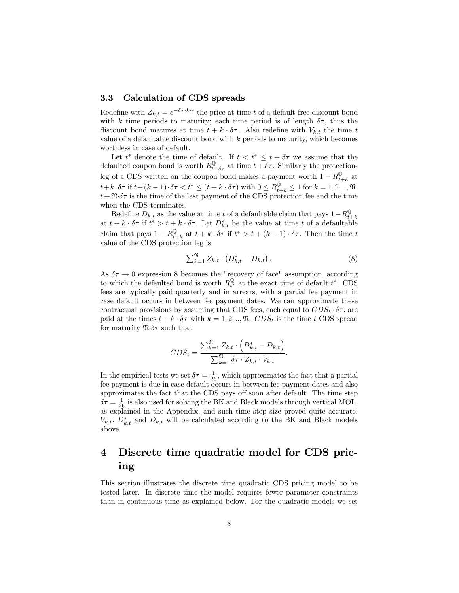#### 3.3 Calculation of CDS spreads

Redefine with  $Z_{k,t} = e^{-\delta \tau \cdot k \cdot r}$  the price at time t of a default-free discount bond with k time periods to maturity; each time period is of length  $\delta \tau$ , thus the discount bond matures at time  $t + k \cdot \delta \tau$ . Also redefine with  $V_{k,t}$  the time t value of a defaultable discount bond with  $k$  periods to maturity, which becomes worthless in case of default.

Let  $t^*$  denote the time of default. If  $t < t^* \leq t + \delta \tau$  we assume that the defaulted coupon bond is worth  $R^{\mathbb{Q}}_{t+\delta\tau}$  at time  $t+\delta\tau$ . Similarly the protectionleg of a CDS written on the coupon bond makes a payment worth  $1 - R_{t+k}^{\mathbb{Q}}$  at  $t+k \cdot \delta \tau$  if  $t+(k-1)\cdot \delta \tau < t^* \leq (t+k \cdot \delta \tau)$  with  $0 \leq R^{\mathbb{Q}}_{t+k} \leq 1$  for  $k=1,2,.., \mathfrak{N}$ .  $t + \mathfrak{N} \cdot \delta \tau$  is the time of the last payment of the CDS protection fee and the time when the CDS terminates.

Redefine  $D_{k,t}$  as the value at time t of a defaultable claim that pays  $1-R_{t+k}^{\mathbb{Q}}$ at  $t + k \cdot \delta \tau$  if  $t^* > t + k \cdot \delta \tau$ . Let  $D_{k,t}^*$  be the value at time t of a defaultable claim that pays  $1 - R_{t+k}^{\mathbb{Q}}$  at  $t + k \cdot \delta \tau$  if  $t^* > t + (k-1) \cdot \delta \tau$ . Then the time t value of the CDS protection leg is

$$
\sum_{k=1}^{\mathfrak{N}} Z_{k,t} \cdot \left( D_{k,t}^* - D_{k,t} \right). \tag{8}
$$

As  $\delta \tau \to 0$  expression 8 becomes the "recovery of face" assumption, according to which the defaulted bond is worth  $R_t^{\mathbb{Q}}$  at the exact time of default  $t^*$ . CDS fees are typically paid quarterly and in arrears, with a partial fee payment in case default occurs in between fee payment dates. We can approximate these contractual provisions by assuming that CDS fees, each equal to  $CDS_t \cdot \delta \tau$ , are paid at the times  $t + k \cdot \delta \tau$  with  $k = 1, 2, ..., \mathfrak{N}$ .  $CDS_t$  is the time t CDS spread for maturity  $\mathfrak{N} \cdot \delta \tau$  such that

$$
CDS_t = \frac{\sum_{k=1}^{\mathfrak{N}} Z_{k,t} \cdot \left(D_{k,t}^* - D_{k,t}\right)}{\sum_{k=1}^{\mathfrak{N}} \delta \tau \cdot Z_{k,t} \cdot V_{k,t}}.
$$

In the empirical tests we set  $\delta \tau = \frac{1}{26}$ , which approximates the fact that a partial fee payment is due in case default occurs in between fee payment dates and also approximates the fact that the CDS pays off soon after default. The time step  $\delta\tau = \frac{1}{26}$  is also used for solving the BK and Black models through vertical MOL, as explained in the Appendix, and such time step size proved quite accurate.  $V_{k,t}, D^*_{k,t}$  and  $D_{k,t}$  will be calculated according to the BK and Black models above.

## 4 Discrete time quadratic model for CDS pricing

This section illustrates the discrete time quadratic CDS pricing model to be tested later. In discrete time the model requires fewer parameter constraints than in continuous time as explained below. For the quadratic models we set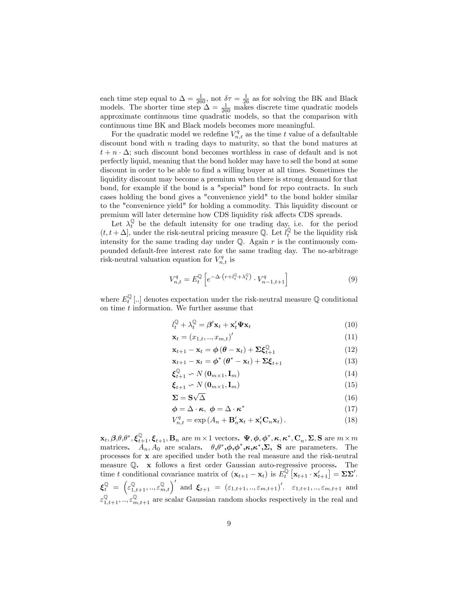each time step equal to  $\Delta = \frac{1}{260}$ , not  $\delta \tau = \frac{1}{26}$  as for solving the BK and Black models. The shorter time step  $\Delta = \frac{1}{260}$  makes discrete time quadratic models approximate continuous time quadratic models, so that the comparison with continuous time BK and Black models becomes more meaningful.

For the quadratic model we redefine  $V_{n,t}^q$  as the time t value of a defaultable discount bond with n trading days to maturity, so that the bond matures at  $t + n \cdot \Delta$ ; such discount bond becomes worthless in case of default and is not perfectly liquid, meaning that the bond holder may have to sell the bond at some discount in order to be able to find a willing buyer at all times. Sometimes the liquidity discount may become a premium when there is strong demand for that bond, for example if the bond is a "special" bond for repo contracts. In such cases holding the bond gives a "convenience yield" to the bond holder similar to the "convenience yield" for holding a commodity. This liquidity discount or premium will later determine how CDS liquidity risk affects CDS spreads.

Let  $\lambda_t^{\mathbb{Q}}$  be the default intensity for one trading day, i.e. for the period  $(t, t + \Delta]$ , under the risk-neutral pricing measure Q. Let  $l_t^{\mathbb{Q}}$  be the liquidity risk intensity for the same trading day under  $Q$ . Again  $r$  is the continuously compounded default-free interest rate for the same trading day. The no-arbitrage risk-neutral valuation equation for  $V_{n,t}^q$  is

$$
V_{n,t}^q = E_t^{\mathbb{Q}} \left[ e^{-\Delta \cdot \left( r + l_t^{\mathbb{Q}} + \lambda_t^{\mathbb{Q}} \right)} \cdot V_{n-1,t+1}^q \right] \tag{9}
$$

where  $E_t^{\mathbb{Q}}$  [..] denotes expectation under the risk-neutral measure  $\mathbb{Q}$  conditional on time  $t$  information. We further assume that

$$
l_t^{\mathbb{Q}} + \lambda_t^{\mathbb{Q}} = \beta' \mathbf{x}_t + \mathbf{x}_t' \mathbf{\Psi} \mathbf{x}_t
$$
\n(10)

$$
\mathbf{x}_t = (x_{1,t}, \dots, x_{m,t})' \tag{11}
$$

$$
\mathbf{x}_{t+1} - \mathbf{x}_t = \boldsymbol{\phi}\left(\boldsymbol{\theta} - \mathbf{x}_t\right) + \boldsymbol{\Sigma}\boldsymbol{\xi}_{t+1}^{\mathbb{Q}} \tag{12}
$$

$$
\mathbf{x}_{t+1} - \mathbf{x}_t = \boldsymbol{\phi}^* \left( \boldsymbol{\theta}^* - \mathbf{x}_t \right) + \boldsymbol{\Sigma} \boldsymbol{\xi}_{t+1} \tag{13}
$$

$$
\xi_{t+1}^{\mathbb{Q}} \backsim N\left(\mathbf{0}_{m\times 1}, \mathbf{I}_m\right) \tag{14}
$$

$$
\boldsymbol{\xi}_{t+1} \backsim N\left(\mathbf{0}_{m\times 1}, \mathbf{I}_m\right) \tag{15}
$$

$$
\Sigma = S\sqrt{\Delta} \tag{16}
$$

$$
\phi = \Delta \cdot \kappa, \ \phi = \Delta \cdot \kappa^* \tag{17}
$$

$$
V_{n,t}^q = \exp\left(A_n + \mathbf{B}_n'\mathbf{x}_t + \mathbf{x}_t'\mathbf{C}_n\mathbf{x}_t\right).
$$
 (18)

 $\mathbf{x}_t, \boldsymbol{\beta}, \theta, \theta^*, \boldsymbol{\xi}_{t+1}^{\mathbb{Q}}, \boldsymbol{\xi}_{t+1}, \mathbf{B}_n \text{ are } m \times 1 \text{ vectors.}$   $\Psi, \phi, \phi^*, \kappa, \kappa^*, \mathbf{C}_n, \boldsymbol{\Sigma}, \mathbf{S} \text{ are } m \times m$ matrices.  $A_n, A_0$  are scalars.  $\theta, \theta^*, \phi, \phi^*, \kappa, \kappa^*, \Sigma$ , S are parameters. The processes for x are specified under both the real measure and the risk-neutral measure Q. x follows a first order Gaussian auto-regressive process. The time t conditional covariance matrix of  $(\mathbf{x}_{t+1} - \mathbf{x}_t)$  is  $E_t^{\mathbb{Q}}[\mathbf{x}_{t+1} \cdot \mathbf{x}'_{t+1}] = \Sigma \Sigma'$ .  $\pmb{\xi}^{\mathbb Q}_t \ = \ \left(\varepsilon^{\mathbb Q}_{1,t+1},..,\varepsilon^{\mathbb Q}_{m,t}\right)^\prime \ \text{and} \ \pmb{\xi}_{t+1} \ = \ (\varepsilon_{1,t+1},..,\varepsilon_{m,t+1})^\prime. \quad \varepsilon_{1,t+1},..,\varepsilon_{m,t+1} \ \text{and}$  $\varepsilon_{1,t+1}^{\mathbb{Q}}\dots,\varepsilon_{m,t+1}^{\mathbb{Q}}$  are scalar Gaussian random shocks respectively in the real and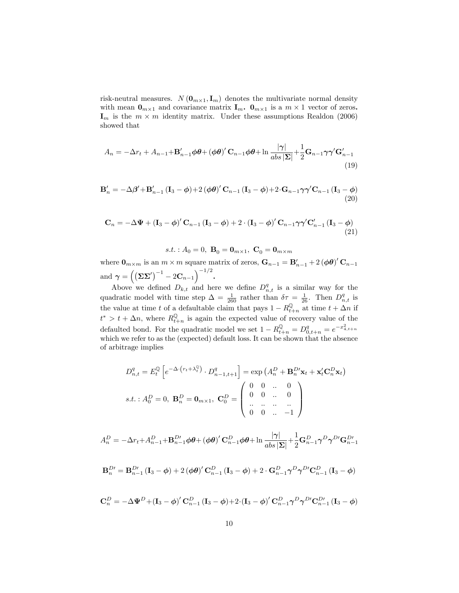risk-neutral measures.  $N(\mathbf{0}_{m\times 1}, \mathbf{I}_m)$  denotes the multivariate normal density with mean  $\mathbf{0}_{m \times 1}$  and covariance matrix  $\mathbf{I}_m$ .  $\mathbf{0}_{m \times 1}$  is a  $m \times 1$  vector of zeros.  $\mathbf{I}_m$  is the  $m \times m$  identity matrix. Under these assumptions Realdon (2006) showed that

$$
A_n = -\Delta r_t + A_{n-1} + \mathbf{B}_{n-1}'\phi\theta + (\phi\theta)'\mathbf{C}_{n-1}\phi\theta + \ln\frac{|\gamma|}{abs|\Sigma|} + \frac{1}{2}\mathbf{G}_{n-1}\gamma\gamma'\mathbf{G}_{n-1}'\tag{19}
$$

$$
\mathbf{B}'_n = -\Delta\beta' + \mathbf{B}'_{n-1}(\mathbf{I}_3 - \phi) + 2(\phi\theta)'\mathbf{C}_{n-1}(\mathbf{I}_3 - \phi) + 2\cdot\mathbf{G}_{n-1}\gamma\gamma'\mathbf{C}_{n-1}(\mathbf{I}_3 - \phi)
$$
\n(20)

$$
\mathbf{C}_n = -\Delta \mathbf{\Psi} + (\mathbf{I}_3 - \phi)' \mathbf{C}_{n-1} (\mathbf{I}_3 - \phi) + 2 \cdot (\mathbf{I}_3 - \phi)' \mathbf{C}_{n-1} \gamma \gamma' \mathbf{C}_{n-1}' (\mathbf{I}_3 - \phi)
$$
\n(21)

 $s.t. : A_0 = 0, B_0 = \mathbf{0}_{m \times 1}, C_0 = \mathbf{0}_{m \times m}$ 

where  $\mathbf{0}_{m \times m}$  is an  $m \times m$  square matrix of zeros,  $\mathbf{G}_{n-1} = \mathbf{B}'_{n-1} + 2 (\phi \boldsymbol{\theta})' \mathbf{C}_{n-1}$ and  $\boldsymbol{\gamma} = \left(\left(\boldsymbol{\Sigma}\boldsymbol{\Sigma}'\right)^{-1} - 2\mathbf{C}_{n-1}\right)^{-1/2}.$ 

Above we defined  $D_{k,t}$  and here we define  $D_{n,t}^q$  is a similar way for the quadratic model with time step  $\Delta = \frac{1}{260}$  rather than  $\delta \tau = \frac{1}{26}$ . Then  $D_{n,t}^q$  is the value at time t of a defaultable claim that pays  $1 - R_{t+n}^{\mathbb{Q}}$  at time  $t + \Delta n$  if  $t^* > t + \Delta n$ , where  $R^{\mathbb{Q}}_{t+n}$  is again the expected value of recovery value of the defaulted bond. For the quadratic model we set  $1 - R_{t+n}^{\mathbb{Q}} = D_{0,t+n}^q = e^{-x_{4,t+n}^2}$ which we refer to as the (expected) default loss. It can be shown that the absence of arbitrage implies

$$
D_{n,t}^q = E_t^{\mathbb{Q}} \left[ e^{-\Delta \cdot (r_t + \lambda_t^{\mathbb{Q}})} \cdot D_{n-1,t+1}^q \right] = \exp \left( A_n^D + \mathbf{B}_n^{D \prime} \mathbf{x}_t + \mathbf{x}_t^{\prime} \mathbf{C}_n^D \mathbf{x}_t \right)
$$
  
s.t. :  $A_0^D = 0$ ,  $\mathbf{B}_n^D = \mathbf{0}_{m \times 1}$ ,  $\mathbf{C}_0^D = \begin{pmatrix} 0 & 0 & \dots & 0 \\ 0 & 0 & \dots & 0 \\ \dots & \dots & \dots & \dots \\ 0 & 0 & \dots & -1 \end{pmatrix}$ 

$$
A_n^D = -\Delta r_t + A_{n-1}^D + \mathbf{B}_{n-1}^{D\prime}\phi\theta + (\phi\theta)'\mathbf{C}_{n-1}^D\phi\theta + \ln\frac{|\gamma|}{abs|\Sigma|} + \frac{1}{2}\mathbf{G}_{n-1}^D\gamma^{D\prime}\mathbf{G}_{n-1}^{D\prime}
$$

$$
\mathbf{B}_n^{D\prime} = \mathbf{B}_{n-1}^{D\prime} \left(\mathbf{I}_3 - \phi\right) + 2 \left(\phi \theta\right)^{\prime} \mathbf{C}_{n-1}^{D} \left(\mathbf{I}_3 - \phi\right) + 2 \cdot \mathbf{G}_{n-1}^{D} \gamma^{D} \gamma^{D\prime} \mathbf{C}_{n-1}^{D} \left(\mathbf{I}_3 - \phi\right)
$$

$$
\mathbf{C}_n^D = -\Delta \mathbf{\Psi}^D + (\mathbf{I}_3 - \phi)' \mathbf{C}_{n-1}^D (\mathbf{I}_3 - \phi) + 2 \cdot (\mathbf{I}_3 - \phi)' \mathbf{C}_{n-1}^D \gamma^D \gamma^{D'} \mathbf{C}_{n-1}^{D'} (\mathbf{I}_3 - \phi)
$$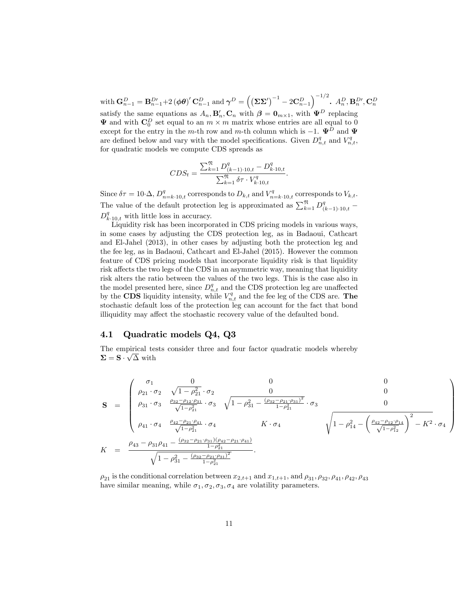with  $\mathbf{G}_{n-1}^D = \mathbf{B}_{n-1}^{D\prime} + 2 \left(\boldsymbol{\phi} \boldsymbol{\theta}\right)^\prime \mathbf{C}_{n-1}^D$  and  $\boldsymbol{\gamma}^D = \left(\left(\boldsymbol{\Sigma} \boldsymbol{\Sigma}^\prime\right)^{-1} - 2 \mathbf{C}_{n-1}^D\right)$  $\Big)^{-1/2}$ .  $A^D_n, \mathbf{B}^{D \prime}_n, \mathbf{C}^D_n$ satisfy the same equations as  $A_n, \mathbf{B}'_n, \mathbf{C}_n$  with  $\boldsymbol{\beta} = \mathbf{0}_{m \times 1}$ , with  $\boldsymbol{\Psi}^D$  replacing  $\Psi$  and with  $C_0^D$  set equal to an  $m \times m$  matrix whose entries are all equal to 0 except for the entry in the m-th row and m-th column which is  $-1$ .  $\Psi^D$  and  $\Psi$ are defined below and vary with the model specifications. Given  $D_{n,t}^q$  and  $V_{n,t}^q$ , for quadratic models we compute CDS spreads as

$$
CDS_t = \frac{\sum_{k=1}^{\mathfrak{N}} D_{(k-1)\cdot 10,t}^q - D_{k\cdot 10,t}^q}{\sum_{k=1}^{\mathfrak{N}} \delta \tau \cdot V_{k\cdot 10,t}^q}.
$$

Since  $\delta \tau = 10 \cdot \Delta$ ,  $D_{n=k+10,t}^q$  corresponds to  $D_{k,t}$  and  $V_{n=k+10,t}^q$  corresponds to  $V_{k,t}$ . The value of the default protection leg is approximated as  $\sum_{k=1}^{\mathfrak{N}} D_{(k-1)\cdot 10,t}^q$  –  $D_{k+10,t}^q$  with little loss in accuracy.

Liquidity risk has been incorporated in CDS pricing models in various ways, in some cases by adjusting the CDS protection leg, as in Badaoui, Cathcart and El-Jahel (2013), in other cases by adjusting both the protection leg and the fee leg, as in Badaoui, Cathcart and El-Jahel (2015). However the common feature of CDS pricing models that incorporate liquidity risk is that liquidity risk affects the two legs of the CDS in an asymmetric way, meaning that liquidity risk alters the ratio between the values of the two legs. This is the case also in the model presented here, since  $D_{n,t}^q$  and the CDS protection leg are unaffected by the **CDS** liquidity intensity, while  $V_{n,t}^q$  and the fee leg of the CDS are. **The** stochastic default loss of the protection leg can account for the fact that bond illiquidity may affect the stochastic recovery value of the defaulted bond.

#### 4.1 Quadratic models Q4, Q3

The empirical tests consider three and four factor quadratic models whereby  $\Sigma = S \cdot \sqrt{\Delta}$  with

$$
\begin{pmatrix}\n\sigma_1 & 0 & 0 & 0 \\
\rho_{21} \cdot \sigma_2 & \sqrt{1 - \rho_{21}^2} \cdot \sigma_2 & 0 & 0 \\
\frac{\rho_{31} \cdot \sigma_3}{\rho_{31} \cdot \sigma_3} & \frac{\rho_{32} - \rho_{12} \cdot \rho_{31}}{\rho_{31} \cdot \sigma_3} & \sqrt{1 - \rho_{21}^2 - \frac{(\rho_{32} - \rho_{21} \cdot \rho_{31})^2}{\rho_{31} \cdot \rho_{31} \cdot \rho_{31}}} \cdot \sigma_3 & 0\n\end{pmatrix}
$$

$$
\mathbf{S} = \begin{bmatrix} \rho_{21} \cdot \sigma_2 & \sqrt{1 - \rho_{21}} \cdot \sigma_2 & 0 & 0 \\ \rho_{31} \cdot \sigma_3 & \frac{\rho_{32} - \rho_{12} \cdot \rho_{31}}{\sqrt{1 - \rho_{21}^2}} \cdot \sigma_3 & \sqrt{1 - \rho_{31}^2 - \frac{(\rho_{32} - \rho_{21} \cdot \rho_{31})^2}{1 - \rho_{21}^2}} \cdot \sigma_3 & 0 \\ \rho_{41} \cdot \sigma_4 & \frac{\rho_{42} - \rho_{21} \cdot \rho_{41}}{\sqrt{1 - \rho_{21}^2}} \cdot \sigma_4 & K \cdot \sigma_4 & \sqrt{1 - \rho_{14}^2 - \left(\frac{\rho_{42} - \rho_{12} \cdot \rho_{14}}{\sqrt{1 - \rho_{12}^2}}\right)^2 - K^2} \cdot \sigma_4 \end{bmatrix}
$$
  
\n
$$
K = \frac{\rho_{43} - \rho_{31} \rho_{41} - \frac{(\rho_{32} - \rho_{21} \cdot \rho_{31})(\rho_{42} - \rho_{21} \cdot \rho_{41})}{1 - \rho_{21}^2}}{\sqrt{1 - \rho_{31}^2 - \frac{(\rho_{32} - \rho_{21} \cdot \rho_{31})^2}{1 - \rho_{21}^2}}}.
$$

 $\rho_{21}$  is the conditional correlation between  $x_{2,t+1}$  and  $x_{1,t+1}$ , and  $\rho_{31}, \rho_{32}, \rho_{41}, \rho_{42}, \rho_{43}$ have similar meaning, while  $\sigma_1$ ,  $\sigma_2$ ,  $\sigma_3$ ,  $\sigma_4$  are volatility parameters.

 $1-\rho_{21}^2$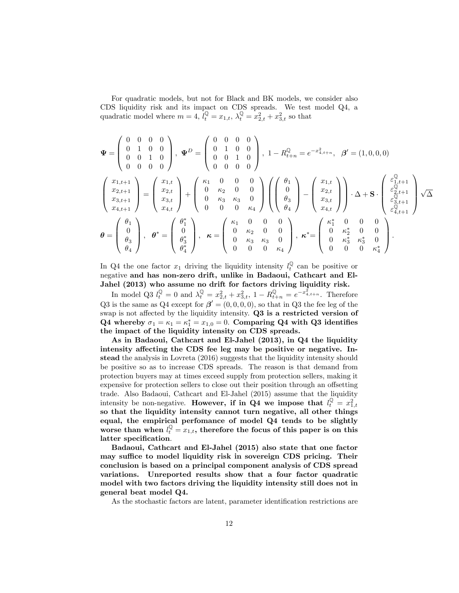For quadratic models, but not for Black and BK models, we consider also CDS liquidity risk and its impact on CDS spreads. We test model Q4, a quadratic model where  $m = 4$ ,  $l_t^{\mathbb{Q}} = x_{1,t}$ ,  $\lambda_t^{\mathbb{Q}} = x_{2,t}^2 + x_{3,t}^2$  so that

$$
\Psi = \begin{pmatrix} 0 & 0 & 0 & 0 \\ 0 & 1 & 0 & 0 \\ 0 & 0 & 1 & 0 \\ 0 & 0 & 0 & 0 \end{pmatrix}, \quad \Psi^D = \begin{pmatrix} 0 & 0 & 0 & 0 \\ 0 & 1 & 0 & 0 \\ 0 & 0 & 1 & 0 \\ 0 & 0 & 0 & 0 \end{pmatrix}, \quad 1 - R_{t+n}^{\mathbb{Q}} = e^{-x_{4,t+n}^2}, \quad \beta' = (1,0,0,0)
$$
\n
$$
\begin{pmatrix} x_{1,t+1} \\ x_{2,t+1} \\ x_{3,t+1} \\ x_{4,t+1} \end{pmatrix} = \begin{pmatrix} x_{1,t} \\ x_{2,t} \\ x_{3,t} \\ x_{4,t} \end{pmatrix} + \begin{pmatrix} \kappa_1 & 0 & 0 & 0 \\ 0 & \kappa_2 & 0 & 0 \\ 0 & \kappa_3 & \kappa_3 & 0 \\ 0 & 0 & 0 & \kappa_4 \end{pmatrix} \begin{pmatrix} \theta_1 \\ 0 \\ \theta_3 \\ \theta_4 \end{pmatrix} - \begin{pmatrix} x_{1,t} \\ x_{2,t} \\ x_{3,t} \\ x_{4,t} \end{pmatrix} \begin{pmatrix} \varepsilon_{1,t+1}^{\mathbb{Q}} \\ \varepsilon_{2,t+1}^{\mathbb{Q}} \\ \varepsilon_{3,t+1}^{\mathbb{Q}} \\ \varepsilon_{4,t+1}^{\mathbb{Q}} \end{pmatrix} \sqrt{\Delta}
$$
\n
$$
\theta = \begin{pmatrix} \theta_1 \\ 0 \\ \theta_3 \\ \theta_4 \end{pmatrix}, \quad \theta^* = \begin{pmatrix} \theta_1^* \\ 0 \\ \theta_3^* \\ \theta_4^* \end{pmatrix}, \quad \kappa = \begin{pmatrix} \kappa_1 & 0 & 0 & 0 \\ 0 & \kappa_2 & 0 & 0 \\ 0 & \kappa_3 & \kappa_3 & 0 \\ 0 & 0 & 0 & \kappa_4 \end{pmatrix}, \quad \kappa^* = \begin{pmatrix} \kappa_1^* & 0 & 0 & 0 \\ 0 & \kappa_2^* & 0 & 0 \\ 0 & \kappa_3^* & \kappa_3^* & 0 \\ 0 & 0 & 0 & \kappa_4^* \end{pmatrix}.
$$

In Q4 the one factor  $x_1$  driving the liquidity intensity  $l_t^{\mathbb{Q}}$  can be positive or negative and has non-zero drift, unlike in Badaoui, Cathcart and El-Jahel (2013) who assume no drift for factors driving liquidity risk.

In model Q3  $l_t^{\mathbb{Q}} = 0$  and  $\lambda_t^{\mathbb{Q}} = x_{2,t}^2 + x_{3,t}^2$ ,  $1 - R_{t+n}^{\mathbb{Q}} = e^{-x_{4,t+n}^2}$ . Therefore Q3 is the same as Q4 except for  $\beta' = (0,0,0,0)$ , so that in Q3 the fee leg of the swap is not affected by the liquidity intensity. Q3 is a restricted version of  $\bf Q4$  whereby  $\sigma_1 = \kappa_1 = \kappa_1^* = x_{1,0} = 0$ . Comparing  $\bf Q4$  with  $\bf Q3$  identifies the impact of the liquidity intensity on CDS spreads.

As in Badaoui, Cathcart and El-Jahel (2013), in Q4 the liquidity intensity affecting the CDS fee leg may be positive or negative. Instead the analysis in Lovreta (2016) suggests that the liquidity intensity should be positive so as to increase CDS spreads. The reason is that demand from protection buyers may at times exceed supply from protection sellers, making it expensive for protection sellers to close out their position through an offsetting trade. Also Badaoui, Cathcart and El-Jahel (2015) assume that the liquidity intensity be non-negative. However, if in Q4 we impose that  $l_t^{\mathbb{Q}} = x_{1,t}^2$ so that the liquidity intensity cannot turn negative, all other things equal, the empirical perfomance of model Q4 tends to be slightly worse than when  $l_t^{\mathbb{Q}} = x_{1,t}$ , therefore the focus of this paper is on this latter specification.

Badaoui, Cathcart and El-Jahel (2015) also state that one factor may suffice to model liquidity risk in sovereign CDS pricing. Their conclusion is based on a principal component analysis of CDS spread variations. Unreported results show that a four factor quadratic model with two factors driving the liquidity intensity still does not in general beat model Q4.

As the stochastic factors are latent, parameter identification restrictions are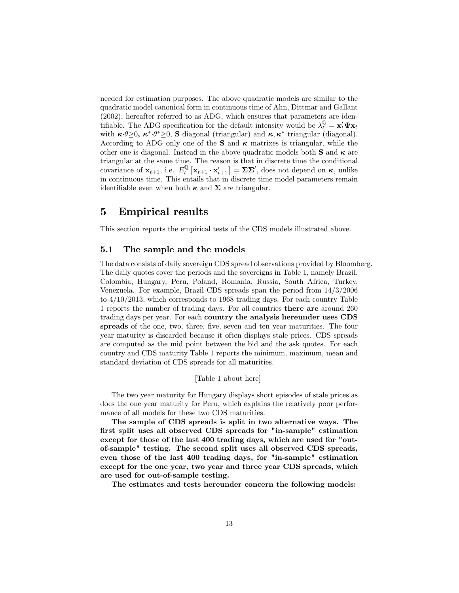needed for estimation purposes. The above quadratic models are similar to the quadratic model canonical form in continuous time of Ahn, Dittmar and Gallant (2002), hereafter referred to as ADG, which ensures that parameters are identifiable. The ADG specification for the default intensity would be  $\lambda_t^{\mathbb{Q}} = \mathbf{x}_t' \Psi \mathbf{x}_t$ with  $\kappa \theta \geq 0$ ,  $\kappa^* \theta^* \geq 0$ , **S** diagonal (triangular) and  $\kappa, \kappa^*$  triangular (diagonal). According to ADG only one of the **S** and  $\kappa$  matrixes is triangular, while the other one is diagonal. Instead in the above quadratic models both  $S$  and  $\kappa$  are triangular at the same time. The reason is that in discrete time the conditional covariance of  $\mathbf{x}_{t+1}$ , i.e.  $E_t^{\mathbb{Q}}\left[\mathbf{x}_{t+1} \cdot \mathbf{x}'_{t+1}\right] = \Sigma \Sigma'$ , does not depend on  $\kappa$ , unlike in continuous time. This entails that in discrete time model parameters remain identifiable even when both  $\kappa$  and  $\Sigma$  are triangular.

## 5 Empirical results

This section reports the empirical tests of the CDS models illustrated above.

#### 5.1 The sample and the models

The data consists of daily sovereign CDS spread observations provided by Bloomberg. The daily quotes cover the periods and the sovereigns in Table 1, namely Brazil, Colombia, Hungary, Peru, Poland, Romania, Russia, South Africa, Turkey, Venezuela. For example, Brazil CDS spreads span the period from 14/3/2006 to 4/10/2013, which corresponds to 1968 trading days. For each country Table 1 reports the number of trading days. For all countries there are around 260 trading days per year. For each country the analysis hereunder uses CDS spreads of the one, two, three, Öve, seven and ten year maturities. The four year maturity is discarded because it often displays stale prices. CDS spreads are computed as the mid point between the bid and the ask quotes. For each country and CDS maturity Table 1 reports the minimum, maximum, mean and standard deviation of CDS spreads for all maturities.

[Table 1 about here]

The two year maturity for Hungary displays short episodes of stale prices as does the one year maturity for Peru, which explains the relatively poor performance of all models for these two CDS maturities.

The sample of CDS spreads is split in two alternative ways. The first split uses all observed CDS spreads for "in-sample" estimation except for those of the last 400 trading days, which are used for "outof-sample" testing. The second split uses all observed CDS spreads, even those of the last 400 trading days, for "in-sample" estimation except for the one year, two year and three year CDS spreads, which are used for out-of-sample testing.

The estimates and tests hereunder concern the following models: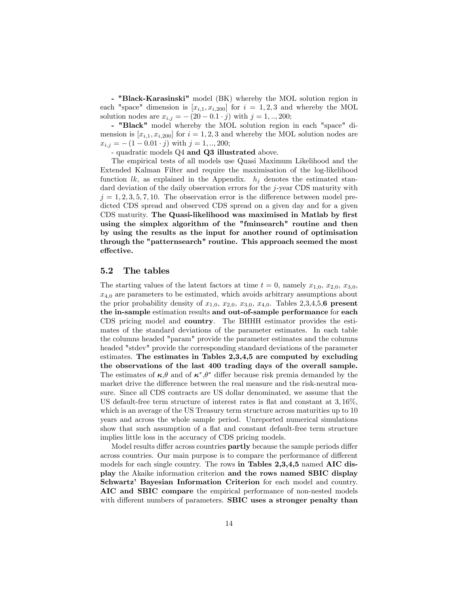- "Black-Karasinski" model (BK) whereby the MOL solution region in each "space" dimension is  $[x_{i,1}, x_{i,200}]$  for  $i = 1, 2, 3$  and whereby the MOL solution nodes are  $x_{i,j} = -(20 - 0.1 \cdot j)$  with  $j = 1, ..., 200;$ 

- "Black" model whereby the MOL solution region in each "space" dimension is  $[x_{i,1}, x_{i,200}]$  for  $i = 1, 2, 3$  and whereby the MOL solution nodes are  $x_{i,j} = -(1 - 0.01 \cdot j)$  with  $j = 1,..,200;$ 

- quadratic models Q4 and Q3 illustrated above.

The empirical tests of all models use Quasi Maximum Likelihood and the Extended Kalman Filter and require the maximisation of the log-likelihood function lk, as explained in the Appendix.  $h_i$  denotes the estimated standard deviation of the daily observation errors for the j-year CDS maturity with  $j = 1, 2, 3, 5, 7, 10$ . The observation error is the difference between model predicted CDS spread and observed CDS spread on a given day and for a given CDS maturity. The Quasi-likelihood was maximised in Matlab by first using the simplex algorithm of the "fminsearch" routine and then by using the results as the input for another round of optimisation through the "patternsearch" routine. This approach seemed the most effective.

#### 5.2 The tables

The starting values of the latent factors at time  $t = 0$ , namely  $x_{1,0}$ ,  $x_{2,0}$ ,  $x_{3,0}$ ,  $x_{4,0}$  are parameters to be estimated, which avoids arbitrary assumptions about the prior probability density of  $x_{1,0}$ ,  $x_{2,0}$ ,  $x_{3,0}$ ,  $x_{4,0}$ . Tables 2,3,4,5,6 present the in-sample estimation results and out-of-sample performance for each CDS pricing model and country. The BHHH estimator provides the estimates of the standard deviations of the parameter estimates. In each table the columns headed "param" provide the parameter estimates and the columns headed "stdev" provide the corresponding standard deviations of the parameter estimates. The estimates in Tables 2,3,4,5 are computed by excluding the observations of the last 400 trading days of the overall sample. The estimates of  $\kappa, \theta$  and of  $\kappa^*, \theta^*$  differ because risk premia demanded by the market drive the difference between the real measure and the risk-neutral measure. Since all CDS contracts are US dollar denominated, we assume that the US default-free term structure of interest rates is flat and constant at  $3,16\%$ , which is an average of the US Treasury term structure across maturities up to 10 years and across the whole sample period. Unreported numerical simulations show that such assumption of a flat and constant default-free term structure implies little loss in the accuracy of CDS pricing models.

Model results differ across countries **partly** because the sample periods differ across countries. Our main purpose is to compare the performance of different models for each single country. The rows in Tables 2,3,4,5 named AIC display the Akaike information criterion and the rows named SBIC display Schwartz' Bayesian Information Criterion for each model and country. AIC and SBIC compare the empirical performance of non-nested models with different numbers of parameters. **SBIC** uses a stronger penalty than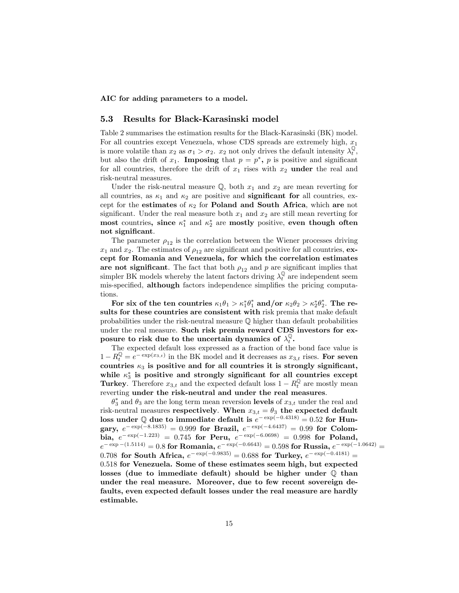#### AIC for adding parameters to a model.

#### 5.3 Results for Black-Karasinski model

Table 2 summarises the estimation results for the Black-Karasinski (BK) model. For all countries except Venezuela, whose CDS spreads are extremely high,  $x_1$ is more volatile than  $x_2$  as  $\sigma_1 > \sigma_2$ .  $x_2$  not only drives the default intensity  $\lambda_t^{\mathbb{Q}}$ , but also the drift of  $x_1$ . **Imposing** that  $p = p^*$ , p is positive and significant for all countries, therefore the drift of  $x_1$  rises with  $x_2$  under the real and risk-neutral measures.

Under the risk-neutral measure  $\mathbb{Q}$ , both  $x_1$  and  $x_2$  are mean reverting for all countries, as  $\kappa_1$  and  $\kappa_2$  are positive and **significant for** all countries, except for the estimates of  $\kappa_2$  for Poland and South Africa, which are not significant. Under the real measure both  $x_1$  and  $x_2$  are still mean reverting for most countries, since  $\kappa_1^*$  and  $\kappa_2^*$  are mostly positive, even though often not significant.

The parameter  $\rho_{12}$  is the correlation between the Wiener processes driving  $x_1$  and  $x_2$ . The estimates of  $\rho_{12}$  are significant and positive for all countries, except for Romania and Venezuela, for which the correlation estimates are not significant. The fact that both  $\rho_{12}$  and p are significant implies that simpler BK models whereby the latent factors driving  $\lambda_t^{\mathbb{Q}}$  are independent seem mis-specified, although factors independence simplifies the pricing computations.

For six of the ten countries  $\kappa_1\theta_1 > \kappa_1^*\theta_1^*$  and/or  $\kappa_2\theta_2 > \kappa_2^*\theta_2^*$ . The results for these countries are consistent with risk premia that make default probabilities under the risk-neutral measure Q higher than default probabilities under the real measure. Such risk premia reward CDS investors for exposure to risk due to the uncertain dynamics of  $\lambda^{\mathbb Q}_t.$ 

The expected default loss expressed as a fraction of the bond face value is  $1 - R_t^{\mathbb{Q}} = e^{-\exp(x_{3,t})}$  in the BK model and it decreases as  $x_{3,t}$  rises. For seven countries  $\kappa_3$  is positive and for all countries it is strongly significant, while  $\kappa_3^*$  is positive and strongly significant for all countries except **Turkey**. Therefore  $x_{3,t}$  and the expected default loss  $1 - R_t^{\mathbb{Q}}$  are mostly mean reverting under the risk-neutral and under the real measures.

 $\theta_3^*$  and  $\theta_3$  are the long term mean reversion levels of  $x_{3,t}$  under the real and risk-neutral measures respectively. When  $x_{3,t} = \theta_3$  the expected default loss under  $\mathbb Q$  due to immediate default is  $e^{-\exp(-0.4318)} = 0.52$  for Hun- $_{\rm{gary},\,\,}e^{-\exp(-8.1835)}=0.999$  for Brazil,  $e^{-\exp(-4.6437)}=0.99$  for Colombia,  $e^{-\exp(-1.223)} = 0.745$  for Peru,  $e^{-\exp(-6.0698)} = 0.998$  for Poland,  $e^{-\exp{-(1.5114)}}=0.8$  for Romania,  $e^{-\exp(-0.6643)}=0.598$  for Russia,  $e^{-\exp(-1.0642)}=$  $(0.708$  for South Africa,  $e^{-\exp(-0.9835)} = 0.688$  for Turkey,  $e^{-\exp(-0.4181)} =$ 0:518 for Venezuela. Some of these estimates seem high, but expected losses (due to immediate default) should be higher under Q than under the real measure. Moreover, due to few recent sovereign defaults, even expected default losses under the real measure are hardly estimable.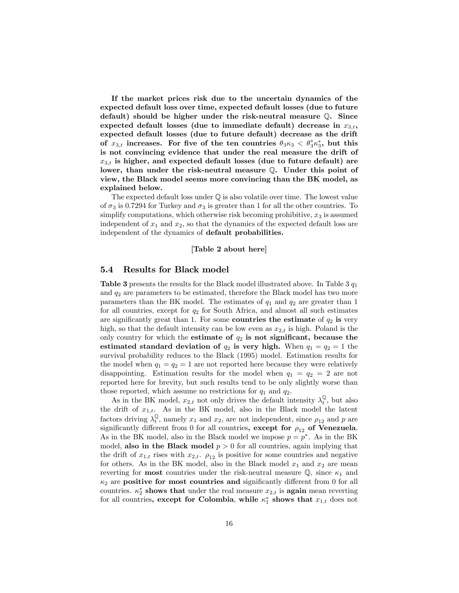If the market prices risk due to the uncertain dynamics of the expected default loss over time, expected default losses (due to future default) should be higher under the risk-neutral measure Q. Since expected default losses (due to immediate default) decrease in  $x_{3,t}$ , expected default losses (due to future default) decrease as the drift of  $x_{3,t}$  increases. For five of the ten countries  $\theta_3 \kappa_3 < \theta_3^* \kappa_3^*$ , but this is not convincing evidence that under the real measure the drift of  $x_{3,t}$  is higher, and expected default losses (due to future default) are lower, than under the risk-neutral measure Q. Under this point of view, the Black model seems more convincing than the BK model, as explained below.

The expected default loss under Q is also volatile over time. The lowest value of  $\sigma_3$  is 0.7294 for Turkey and  $\sigma_3$  is greater than 1 for all the other countries. To simplify computations, which otherwise risk becoming prohibitive,  $x_3$  is assumed independent of  $x_1$  and  $x_2$ , so that the dynamics of the expected default loss are independent of the dynamics of default probabilities.

#### [Table 2 about here]

#### 5.4 Results for Black model

**Table 3** presents the results for the Black model illustrated above. In Table 3  $q_1$ and  $q_2$  are parameters to be estimated, therefore the Black model has two more parameters than the BK model. The estimates of  $q_1$  and  $q_2$  are greater than 1 for all countries, except for  $q_2$  for South Africa, and almost all such estimates are significantly great than 1. For some **countries the estimate** of  $q_2$  is very high, so that the default intensity can be low even as  $x_{2,t}$  is high. Poland is the only country for which the estimate of  $q_2$  is not significant, because the estimated standard deviation of  $q_2$  is very high. When  $q_1 = q_2 = 1$  the survival probability reduces to the Black (1995) model. Estimation results for the model when  $q_1 = q_2 = 1$  are not reported here because they were relatively disappointing. Estimation results for the model when  $q_1 = q_2 = 2$  are not reported here for brevity, but such results tend to be only slightly worse than those reported, which assume no restrictions for  $q_1$  and  $q_2$ .

As in the BK model,  $x_{2,t}$  not only drives the default intensity  $\lambda_t^{\mathbb{Q}}$ , but also the drift of  $x_{1,t}$ . As in the BK model, also in the Black model the latent factors driving  $\lambda_t^{\mathbb{Q}}$ , namely  $x_1$  and  $x_2$ , are not independent, since  $\rho_{12}$  and p are significantly different from 0 for all countries, except for  $\rho_{12}$  of Venezuela. As in the BK model, also in the Black model we impose  $p = p^*$ . As in the BK model, also in the Black model  $p > 0$  for all countries, again implying that the drift of  $x_{1,t}$  rises with  $x_{2,t}$ .  $\rho_{12}$  is positive for some countries and negative for others. As in the BK model, also in the Black model  $x_1$  and  $x_2$  are mean reverting for **most** countries under the risk-neutral measure  $\mathbb{Q}$ , since  $\kappa_1$  and  $\kappa_2$  are **positive for most countries and** significantly different from 0 for all countries.  $\kappa_2^*$  shows that under the real measure  $x_{2,t}$  is again mean reverting for all countries, except for Colombia, while  $\kappa_1^*$  shows that  $x_{1,t}$  does not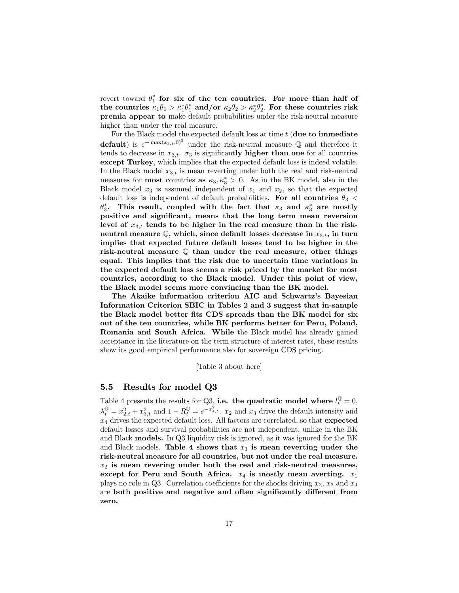revert toward  $\theta_1^*$  for six of the ten countries. For more than half of the countries  $\kappa_1\theta_1 > \kappa_1^*\theta_1^*$  and/or  $\kappa_2\theta_2 > \kappa_2^*\theta_2^*$ . For these countries risk premia appear to make default probabilities under the risk-neutral measure higher than under the real measure.

For the Black model the expected default loss at time  $t$  (due to immediate **default**) is  $e^{-\max(x_3,t,0)^2}$  under the risk-neutral measure Q and therefore it tends to decrease in  $x_{3,t}$ .  $\sigma_3$  is significantly higher than one for all countries except Turkey, which implies that the expected default loss is indeed volatile. In the Black model  $x_{3,t}$  is mean reverting under both the real and risk-neutral measures for **most** countries **as**  $\kappa_3, \kappa_3^* > 0$ . As in the BK model, also in the Black model  $x_3$  is assumed independent of  $x_1$  and  $x_2$ , so that the expected default loss is independent of default probabilities. For all countries  $\theta_3$  <  $\theta_3^*$ . This result, coupled with the fact that  $\kappa_3$  and  $\kappa_3^*$  are mostly positive and significant, means that the long term mean reversion level of  $x_{3,t}$  tends to be higher in the real measure than in the riskneutral measure  $\mathbb{Q}$ , which, since default losses decrease in  $x_{3,t}$ , in turn implies that expected future default losses tend to be higher in the risk-neutral measure Q than under the real measure, other things equal. This implies that the risk due to uncertain time variations in the expected default loss seems a risk priced by the market for most countries, according to the Black model. Under this point of view, the Black model seems more convincing than the BK model.

The Akaike information criterion AIC and Schwartz's Bayesian Information Criterion SBIC in Tables 2 and 3 suggest that in-sample the Black model better fits CDS spreads than the BK model for six out of the ten countries, while BK performs better for Peru, Poland, Romania and South Africa. While the Black model has already gained acceptance in the literature on the term structure of interest rates, these results show its good empirical performance also for sovereign CDS pricing.

[Table 3 about here]

#### 5.5 Results for model Q3

Table 4 presents the results for  $Q_3$ , i.e. the quadratic model where  $l_t^{\mathbb{Q}} = 0$ ,  $\lambda_t^{\mathbb{Q}} = x_{2,t}^2 + x_{3,t}^2$  and  $1 - R_t^{\mathbb{Q}} = e^{-x_{4,t}^2}$ ,  $x_2$  and  $x_3$  drive the default intensity and  $x_4$  drives the expected default loss. All factors are correlated, so that expected default losses and survival probabilities are not independent, unlike in the BK and Black models. In Q3 liquidity risk is ignored, as it was ignored for the BK and Black models. Table 4 shows that  $x_3$  is mean reverting under the risk-neutral measure for all countries, but not under the real measure.  $x_2$  is mean revering under both the real and risk-neutral measures, except for Peru and South Africa.  $x_4$  is mostly mean averting.  $x_1$ plays no role in Q3. Correlation coefficients for the shocks driving  $x_2, x_3$  and  $x_4$ are both positive and negative and often significantly different from zero.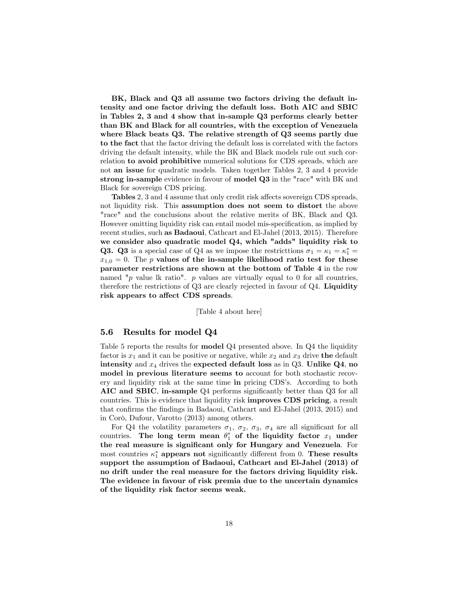BK, Black and Q3 all assume two factors driving the default intensity and one factor driving the default loss. Both AIC and SBIC in Tables 2, 3 and 4 show that in-sample Q3 performs clearly better than BK and Black for all countries, with the exception of Venezuela where Black beats Q3. The relative strength of Q3 seems partly due to the fact that the factor driving the default loss is correlated with the factors driving the default intensity, while the BK and Black models rule out such correlation to avoid prohibitive numerical solutions for CDS spreads, which are not an issue for quadratic models. Taken together Tables 2, 3 and 4 provide strong in-sample evidence in favour of model Q3 in the "race" with BK and Black for sovereign CDS pricing.

Tables 2, 3 and 4 assume that only credit risk affects sovereign CDS spreads, not liquidity risk. This assumption does not seem to distort the above "race" and the conclusions about the relative merits of BK, Black and Q3. However omitting liquidity risk can entail model mis-specification, as implied by recent studies, such as Badaoui, Cathcart and El-Jahel (2013, 2015). Therefore we consider also quadratic model Q4, which "adds" liquidity risk to **Q3. Q3** is a special case of Q4 as we impose the restricttions  $\sigma_1 = \kappa_1 = \kappa_1^* =$  $x_{1,0} = 0$ . The p values of the in-sample likelihood ratio test for these parameter restrictions are shown at the bottom of Table 4 in the row named "p value lk ratio". p values are virtually equal to 0 for all countries, therefore the restrictions of Q3 are clearly rejected in favour of Q4. Liquidity risk appears to affect CDS spreads.

[Table 4 about here]

#### 5.6 Results for model Q4

Table 5 reports the results for model Q4 presented above. In Q4 the liquidity factor is  $x_1$  and it can be positive or negative, while  $x_2$  and  $x_3$  drive the default intensity and  $x_4$  drives the expected default loss as in Q3. Unlike  $\mathbf{Q4}$ , no model in previous literature seems to account for both stochastic recovery and liquidity risk at the same time in pricing CDS's. According to both AIC and SBIC, in-sample Q4 performs significantly better than Q3 for all countries. This is evidence that liquidity risk improves CDS pricing, a result that confirms the findings in Badaoui, Cathcart and El-Jahel (2013, 2015) and in Corò, Dufour, Varotto (2013) among others.

For Q4 the volatility parameters  $\sigma_1$ ,  $\sigma_2$ ,  $\sigma_3$ ,  $\sigma_4$  are all significant for all countries. The long term mean  $\theta_1^*$  of the liquidity factor  $x_1$  under the real measure is significant only for Hungary and Venezuela. For most countries  $\kappa_1^*$  appears not significantly different from 0. These results support the assumption of Badaoui, Cathcart and El-Jahel (2013) of no drift under the real measure for the factors driving liquidity risk. The evidence in favour of risk premia due to the uncertain dynamics of the liquidity risk factor seems weak.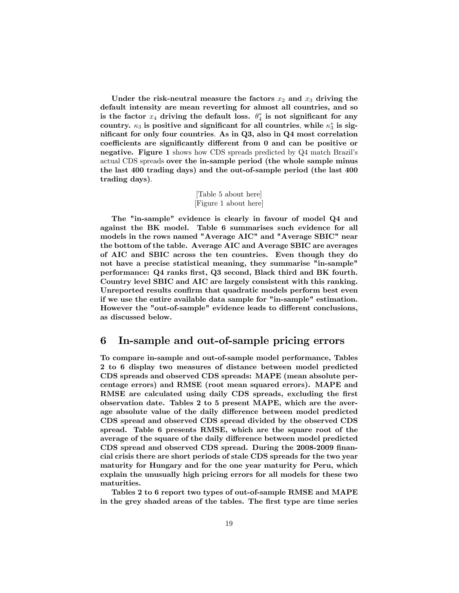Under the risk-neutral measure the factors  $x_2$  and  $x_3$  driving the default intensity are mean reverting for almost all countries, and so is the factor  $x_4$  driving the default loss.  $\theta_4^*$  is not significant for any country.  $\kappa_3$  is positive and significant for all countries, while  $\kappa_3^*$  is significant for only four countries. As in  $Q3$ , also in  $Q4$  most correlation coefficients are significantly different from 0 and can be positive or negative. Figure 1 shows how CDS spreads predicted by Q4 match Brazilís actual CDS spreads over the in-sample period (the whole sample minus the last 400 trading days) and the out-of-sample period (the last 400 trading days).

> [Table 5 about here] [Figure 1 about here]

The "in-sample" evidence is clearly in favour of model Q4 and against the BK model. Table 6 summarises such evidence for all models in the rows named "Average AIC" and "Average SBIC" near the bottom of the table. Average AIC and Average SBIC are averages of AIC and SBIC across the ten countries. Even though they do not have a precise statistical meaning, they summarise "in-sample" performance: Q4 ranks Örst, Q3 second, Black third and BK fourth. Country level SBIC and AIC are largely consistent with this ranking. Unreported results confirm that quadratic models perform best even if we use the entire available data sample for "in-sample" estimation. However the "out-of-sample" evidence leads to different conclusions, as discussed below.

## 6 In-sample and out-of-sample pricing errors

To compare in-sample and out-of-sample model performance, Tables 2 to 6 display two measures of distance between model predicted CDS spreads and observed CDS spreads: MAPE (mean absolute percentage errors) and RMSE (root mean squared errors). MAPE and RMSE are calculated using daily CDS spreads, excluding the first observation date. Tables 2 to 5 present MAPE, which are the average absolute value of the daily difference between model predicted CDS spread and observed CDS spread divided by the observed CDS spread. Table 6 presents RMSE, which are the square root of the average of the square of the daily difference between model predicted CDS spread and observed CDS spread. During the 2008-2009 financial crisis there are short periods of stale CDS spreads for the two year maturity for Hungary and for the one year maturity for Peru, which explain the unusually high pricing errors for all models for these two maturities.

Tables 2 to 6 report two types of out-of-sample RMSE and MAPE in the grey shaded areas of the tables. The first type are time series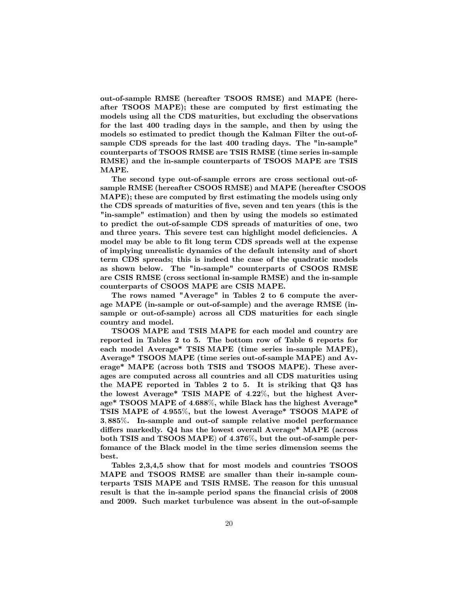out-of-sample RMSE (hereafter TSOOS RMSE) and MAPE (hereafter TSOOS MAPE); these are computed by first estimating the models using all the CDS maturities, but excluding the observations for the last 400 trading days in the sample, and then by using the models so estimated to predict though the Kalman Filter the out-ofsample CDS spreads for the last 400 trading days. The "in-sample" counterparts of TSOOS RMSE are TSIS RMSE (time series in-sample RMSE) and the in-sample counterparts of TSOOS MAPE are TSIS MAPE.

The second type out-of-sample errors are cross sectional out-ofsample RMSE (hereafter CSOOS RMSE) and MAPE (hereafter CSOOS MAPE); these are computed by first estimating the models using only the CDS spreads of maturities of five, seven and ten years (this is the "in-sample" estimation) and then by using the models so estimated to predict the out-of-sample CDS spreads of maturities of one, two and three years. This severe test can highlight model deficiencies. A model may be able to fit long term CDS spreads well at the expense of implying unrealistic dynamics of the default intensity and of short term CDS spreads; this is indeed the case of the quadratic models as shown below. The "in-sample" counterparts of CSOOS RMSE are CSIS RMSE (cross sectional in-sample RMSE) and the in-sample counterparts of CSOOS MAPE are CSIS MAPE.

The rows named "Average" in Tables 2 to 6 compute the average MAPE (in-sample or out-of-sample) and the average RMSE (insample or out-of-sample) across all CDS maturities for each single country and model.

TSOOS MAPE and TSIS MAPE for each model and country are reported in Tables 2 to 5. The bottom row of Table 6 reports for each model Average\* TSIS MAPE (time series in-sample MAPE), Average\* TSOOS MAPE (time series out-of-sample MAPE) and Average\* MAPE (across both TSIS and TSOOS MAPE). These averages are computed across all countries and all CDS maturities using the MAPE reported in Tables 2 to 5. It is striking that Q3 has the lowest Average\* TSIS MAPE of 4:22%, but the highest Average\* TSOOS MAPE of 4:688%, while Black has the highest Average\* TSIS MAPE of 4:955%, but the lowest Average\* TSOOS MAPE of 3; 885%. In-sample and out-of sample relative model performance differs markedly. Q4 has the lowest overall Average\* MAPE (across both TSIS and TSOOS MAPE) of 4.376%, but the out-of-sample perfomance of the Black model in the time series dimension seems the best.

Tables 2,3,4,5 show that for most models and countries TSOOS MAPE and TSOOS RMSE are smaller than their in-sample counterparts TSIS MAPE and TSIS RMSE. The reason for this unusual result is that the in-sample period spans the financial crisis of 2008 and 2009. Such market turbulence was absent in the out-of-sample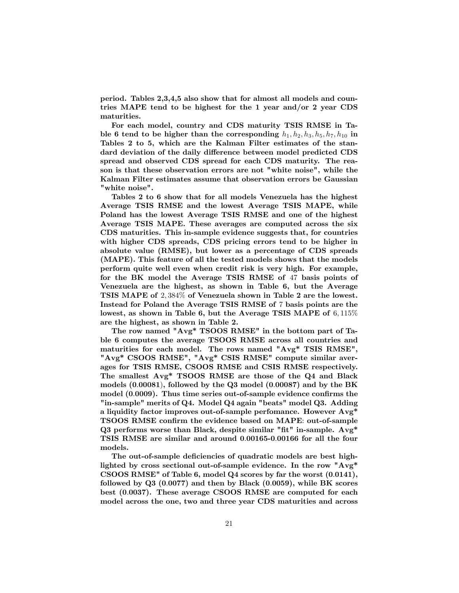period. Tables 2,3,4,5 also show that for almost all models and countries MAPE tend to be highest for the 1 year and/or 2 year CDS maturities.

For each model, country and CDS maturity TSIS RMSE in Table 6 tend to be higher than the corresponding  $h_1, h_2, h_3, h_5, h_7, h_{10}$  in Tables 2 to 5, which are the Kalman Filter estimates of the standard deviation of the daily difference between model predicted CDS spread and observed CDS spread for each CDS maturity. The reason is that these observation errors are not "white noise", while the Kalman Filter estimates assume that observation errors be Gaussian "white noise".

Tables 2 to 6 show that for all models Venezuela has the highest Average TSIS RMSE and the lowest Average TSIS MAPE, while Poland has the lowest Average TSIS RMSE and one of the highest Average TSIS MAPE. These averages are computed across the six CDS maturities. This in-sample evidence suggests that, for countries with higher CDS spreads, CDS pricing errors tend to be higher in absolute value (RMSE), but lower as a percentage of CDS spreads (MAPE). This feature of all the tested models shows that the models perform quite well even when credit risk is very high. For example, for the BK model the Average TSIS RMSE of 47 basis points of Venezuela are the highest, as shown in Table 6, but the Average TSIS MAPE of 2; 384% of Venezuela shown in Table 2 are the lowest. Instead for Poland the Average TSIS RMSE of 7 basis points are the lowest, as shown in Table 6, but the Average TSIS MAPE of 6,115% are the highest, as shown in Table 2.

The row named "Avg\* TSOOS RMSE" in the bottom part of Table 6 computes the average TSOOS RMSE across all countries and maturities for each model. The rows named "Avg\* TSIS RMSE", "Avg\* CSOOS RMSE", "Avg\* CSIS RMSE" compute similar averages for TSIS RMSE, CSOOS RMSE and CSIS RMSE respectively. The smallest Avg\* TSOOS RMSE are those of the Q4 and Black models (0:00081), followed by the Q3 model (0:00087) and by the BK model  $(0.0009)$ . Thus time series out-of-sample evidence confirms the "in-sample" merits of Q4. Model Q4 again "beats" model Q3. Adding a liquidity factor improves out-of-sample perfomance. However Avg\* TSOOS RMSE confirm the evidence based on MAPE: out-of-sample  $Q3$  performs worse than Black, despite similar "fit" in-sample.  $Avg*$ TSIS RMSE are similar and around 0:00165-0:00166 for all the four models.

The out-of-sample deficiencies of quadratic models are best highlighted by cross sectional out-of-sample evidence. In the row "Avg\* CSOOS RMSE" of Table 6, model  $Q4$  scores by far the worst  $(0.0141)$ , followed by  $Q3$  (0.0077) and then by Black (0.0059), while BK scores best (0:0037). These average CSOOS RMSE are computed for each model across the one, two and three year CDS maturities and across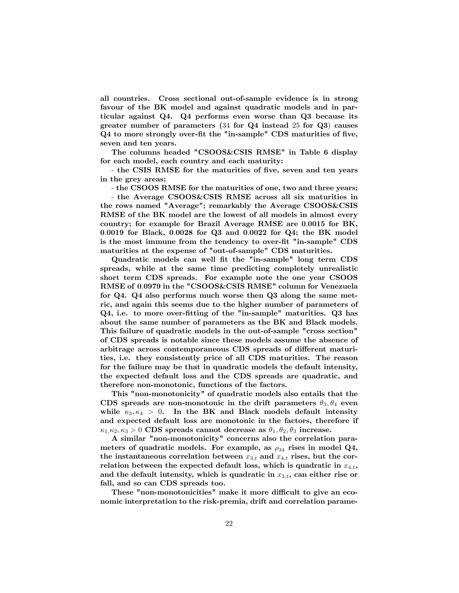all countries. Cross sectional out-of-sample evidence is in strong favour of the BK model and against quadratic models and in particular against Q4. Q4 performs even worse than Q3 because its greater number of parameters (34 for Q4 instead 25 for Q3) causes Q4 to more strongly over-fit the "in-sample" CDS maturities of five, seven and ten years.

The columns headed "CSOOS&CSIS RMSE" in Table 6 display for each model, each country and each maturity:

- the CSIS RMSE for the maturities of five, seven and ten years in the grey areas;

- the CSOOS RMSE for the maturities of one, two and three years;

- the Average CSOOS&CSIS RMSE across all six maturities in the rows named "Average"; remarkably the Average CSOOS&CSIS RMSE of the BK model are the lowest of all models in almost every country; for example for Brazil Average RMSE are 0:0015 for BK, 0:0019 for Black, 0:0028 for Q3 and 0:0022 for Q4; the BK model is the most immune from the tendency to over-fit "in-sample" CDS maturities at the expense of "out-of-sample" CDS maturities.

Quadratic models can well fit the "in-sample" long term CDS spreads, while at the same time predicting completely unrealistic short term CDS spreads. For example note the one year CSOOS RMSE of 0:0979 in the "CSOOS&CSIS RMSE" column for Venezuela for Q4. Q4 also performs much worse then Q3 along the same metric, and again this seems due to the higher number of parameters of Q4, i.e. to more over-Ötting of the "in-sample" maturities. Q3 has about the same number of parameters as the BK and Black models. This failure of quadratic models in the out-of-sample "cross section" of CDS spreads is notable since these models assume the absence of arbitrage across contemporaneous CDS spreads of different maturities, i.e. they consistently price of all CDS maturities. The reason for the failure may be that in quadratic models the default intensity, the expected default loss and the CDS spreads are quadratic, and therefore non-monotonic, functions of the factors.

This "non-monotonicity" of quadratic models also entails that the CDS spreads are non-monotonic in the drift parameters  $\theta_3, \theta_4$  even while  $\kappa_3, \kappa_4 > 0$ . In the BK and Black models default intensity and expected default loss are monotonic in the factors, therefore if  $\kappa_1,\kappa_2,\kappa_3 > 0$  CDS spreads cannot decrease as  $\theta_1, \theta_2, \theta_3$  increase.

A similar "non-monotonicity" concerns also the correlation parameters of quadratic models. For example, as  $\rho_{34}$  rises in model Q4, the instantaneous correlation between  $x_{3,t}$  and  $x_{4,t}$  rises, but the correlation between the expected default loss, which is quadratic in  $x_{4,t}$ , and the default intensity, which is quadratic in  $x_{3,t}$ , can either rise or fall, and so can CDS spreads too.

These "non-monotonicities" make it more difficult to give an economic interpretation to the risk-premia, drift and correlation parame-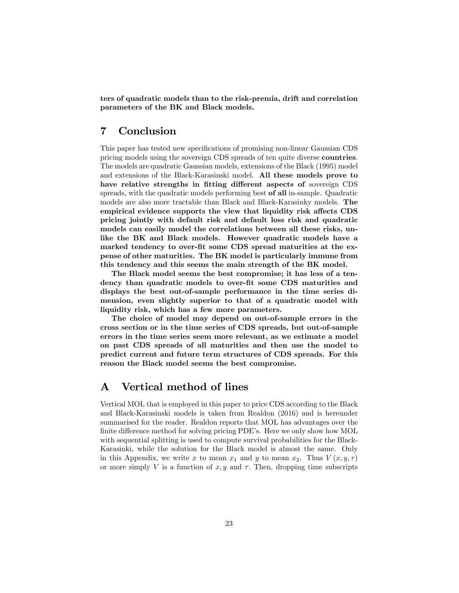ters of quadratic models than to the risk-premia, drift and correlation parameters of the BK and Black models.

## 7 Conclusion

This paper has tested new specifications of promising non-linear Gaussian CDS pricing models using the sovereign CDS spreads of ten quite diverse countries. The models are quadratic Gaussian models, extensions of the Black (1995) model and extensions of the Black-Karasinski model. All these models prove to have relative strengths in fitting different aspects of sovereign CDS spreads, with the quadratic models performing best of all in-sample. Quadratic models are also more tractable than Black and Black-Karasinky models. The empirical evidence supports the view that liquidity risk affects CDS pricing jointly with default risk and default loss risk and quadratic models can easily model the correlations between all these risks, unlike the BK and Black models. However quadratic models have a marked tendency to over-fit some CDS spread maturities at the expense of other maturities. The BK model is particularly immune from this tendency and this seems the main strength of the BK model.

The Black model seems the best compromise; it has less of a tendency than quadratic models to over-fit some CDS maturities and displays the best out-of-sample performance in the time series dimension, even slightly superior to that of a quadratic model with liquidity risk, which has a few more parameters.

The choice of model may depend on out-of-sample errors in the cross section or in the time series of CDS spreads, but out-of-sample errors in the time series seem more relevant, as we estimate a model on past CDS spreads of all maturities and then use the model to predict current and future term structures of CDS spreads. For this reason the Black model seems the best compromise.

## A Vertical method of lines

Vertical MOL that is employed in this paper to price CDS according to the Black and Black-Karasinski models is taken from Realdon (2016) and is hereunder summarised for the reader. Realdon reports that MOL has advantages over the finite difference method for solving pricing PDE's. Here we only show how MOL with sequential splitting is used to compute survival probabilities for the Black-Karasinki, while the solution for the Black model is almost the same. Only in this Appendix, we write x to mean  $x_1$  and y to mean  $x_2$ . Thus  $V(x, y, \tau)$ or more simply V is a function of  $x, y$  and  $\tau$ . Then, dropping time subscripts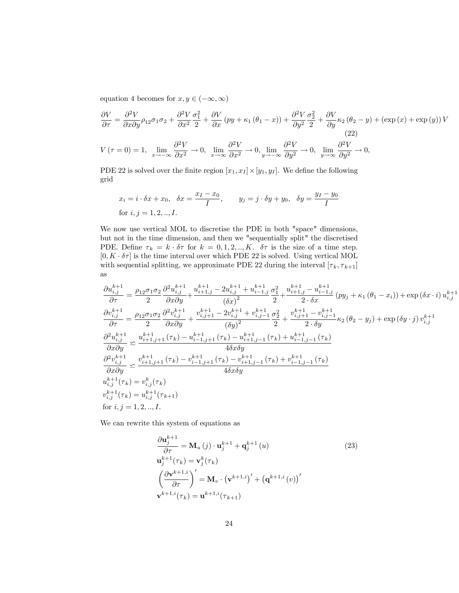equation 4 becomes for  $x, y \in (-\infty, \infty)$ 

$$
\frac{\partial V}{\partial \tau} = \frac{\partial^2 V}{\partial x \partial y} \rho_{12} \sigma_1 \sigma_2 + \frac{\partial^2 V}{\partial x^2} \frac{\sigma_1^2}{2} + \frac{\partial V}{\partial x} (py + \kappa_1 (\theta_1 - x)) + \frac{\partial^2 V}{\partial y^2} \frac{\sigma_2^2}{2} + \frac{\partial V}{\partial y} \kappa_2 (\theta_2 - y) + (\exp(x) + \exp(y)) V
$$
\n(22)\n
$$
V(\tau = 0) = 1, \quad \lim_{x \to -\infty} \frac{\partial^2 V}{\partial x^2} \to 0, \quad \lim_{x \to \infty} \frac{\partial^2 V}{\partial x^2} \to 0, \quad \lim_{y \to -\infty} \frac{\partial^2 V}{\partial y^2} \to 0, \quad \lim_{y \to \infty} \frac{\partial^2 V}{\partial y^2} \to 0,
$$

PDE 22 is solved over the finite region  $[x_1, x_I] \times [y_1, y_I]$ . We define the following grid

$$
x_i = i \cdot \delta x + x_0
$$
,  $\delta x = \frac{x_I - x_0}{I}$ ,  $y_j = j \cdot \delta y + y_0$ ,  $\delta y = \frac{y_I - y_0}{I}$   
for  $i, j = 1, 2, ..., I$ .

We now use vertical MOL to discretise the PDE in both "space" dimensions, but not in the time dimension, and then we "sequentially split" the discretised PDE. Define  $\tau_k = k \cdot \delta \tau$  for  $k = 0, 1, 2, ..., K$ .  $\delta \tau$  is the size of a time step.  $[0, K \cdot \delta \tau]$  is the time interval over which PDE 22 is solved. Using vertical MOL with sequential splitting, we approximate PDE 22 during the interval  $[\tau_k, \tau_{k+1}]$ as

$$
\frac{\partial u_{i,j}^{k+1}}{\partial \tau} = \frac{\rho_{12}\sigma_1\sigma_2}{2} \frac{\partial^2 u_{i,j}^{k+1}}{\partial x \partial y} + \frac{u_{i+1,j}^{k+1} - 2u_{i,j}^{k+1} + u_{i-1,j}^{k+1}}{(\delta x)^2} \frac{\sigma_1^2}{2} + \frac{u_{i+1,j}^{k+1} - u_{i-1,j}^{k+1}}{2 \cdot \delta x} (py_j + \kappa_1 (\theta_1 - x_i)) + \exp(\delta x \cdot i) u_{i,j}^{k+1}
$$
\n
$$
\frac{\partial v_{i,j}^{k+1}}{\partial \tau} = \frac{\rho_{12}\sigma_1\sigma_2}{2} \frac{\partial^2 v_{i,j}^{k+1}}{\partial x \partial y} + \frac{v_{i,j+1}^{k+1} - 2v_{i,j}^{k+1} + v_{i,j-1}^{k+1}}{(\delta y)^2} \frac{\sigma_2^2}{2} + \frac{v_{i,j+1}^{k+1} - v_{i,j-1}^{k+1}}{2 \cdot \delta y} \kappa_2 (\theta_2 - y_j) + \exp(\delta y \cdot j) v_{i,j}^{k+1}
$$
\n
$$
\frac{\partial^2 u_{i,j}^{k+1}}{\partial x \partial y} \simeq \frac{u_{i+1,j+1}^{k+1}(\tau_k) - u_{i-1,j+1}^{k+1}(\tau_k) - u_{i+1,j-1}^{k+1}(\tau_k) + u_{i-1,j-1}^{k+1}(\tau_k)}{4\delta x \delta y}
$$
\n
$$
\frac{\partial^2 v_{i,j}^{k+1}}{\partial x \partial y} \simeq \frac{v_{i+1,j+1}^{k+1}(\tau_k) - v_{i-1,j+1}^{k+1}(\tau_k) - v_{i+1,j-1}^{k+1}(\tau_k) + v_{i-1,j-1}^{k+1}(\tau_k)}{4\delta x \delta y}
$$
\n
$$
u_{i,j}^{k+1}(\tau_k) = v_{i,j}^k(\tau_k)
$$
\n
$$
v_{i,j}^{k+1}(\tau_k) = u_{i,j}^{k+1}(\tau_{k+1})
$$
\nfor  $i, j = 1, 2, ..., I$ .

We can rewrite this system of equations as

$$
\frac{\partial \mathbf{u}_{j}^{k+1}}{\partial \tau} = \mathbf{M}_{u}(j) \cdot \mathbf{u}_{j}^{k+1} + \mathbf{q}_{j}^{k+1}(u)
$$
\n
$$
\mathbf{u}_{j}^{k+1}(\tau_{k}) = \mathbf{v}_{j}^{k}(\tau_{k})
$$
\n
$$
\left(\frac{\partial \mathbf{v}^{k+1,i}}{\partial \tau}\right)' = \mathbf{M}_{v} \cdot (\mathbf{v}^{k+1,i})' + (\mathbf{q}^{k+1,i}(v))'
$$
\n
$$
\mathbf{v}^{k+1,i}(\tau_{k}) = \mathbf{u}^{k+1,i}(\tau_{k+1})
$$
\n(23)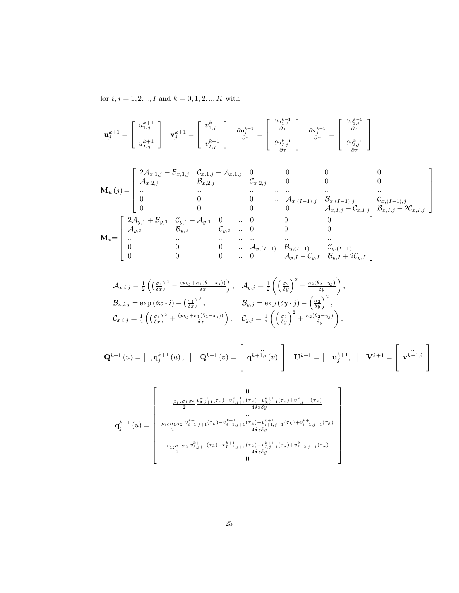for  $i,j=1,2,..,I$  and  $k=0,1,2,..,K$  with

$$
\mathbf{u}_{j}^{k+1} = \left[ \begin{array}{c} u_{1,j}^{k+1} \\ \ldots \\ u_{I,j}^{k+1} \end{array} \right] \quad \mathbf{v}_{j}^{k+1} = \left[ \begin{array}{c} v_{1,j}^{k+1} \\ \ldots \\ v_{I,j}^{k+1} \end{array} \right] \quad \frac{\partial \mathbf{u}_{j}^{k+1}}{\partial \tau} = \left[ \begin{array}{c} \frac{\partial u_{1,j}^{k+1}}{\partial \tau} \\ \ldots \\ \frac{\partial u_{I,j}^{k+1}}{\partial \tau} \end{array} \right] \quad \frac{\partial \mathbf{v}_{j}^{k+1}}{\partial \tau} = \left[ \begin{array}{c} \frac{\partial v_{1,j}^{k+1}}{\partial \tau} \\ \ldots \\ \frac{\partial v_{I,j}^{k+1}}{\partial \tau} \end{array} \right]
$$

$$
\mathbf{M}_{u}(j) = \begin{bmatrix} 2\mathcal{A}_{x,1,j} + \mathcal{B}_{x,1,j} & \mathcal{C}_{x,1,j} - \mathcal{A}_{x,1,j} & 0 & \dots & 0 & 0 & 0 \\ \mathcal{A}_{x,2,j} & \mathcal{B}_{x,2,j} & \dots & 0 & 0 & 0 & 0 \\ \vdots & \vdots & \vdots & \ddots & \vdots & \vdots & \vdots \\ 0 & 0 & 0 & \dots & \mathcal{A}_{x,(I-1),j} & \mathcal{B}_{x,(I-1),j} & \mathcal{C}_{x,(I-1),j} \\ 0 & 0 & 0 & \dots & 0 & \mathcal{A}_{x,I,j} - \mathcal{C}_{x,I,j} & \mathcal{B}_{x,I,j} + 2\mathcal{C}_{x,I,j} \\ \mathcal{A}_{y,1} + \mathcal{B}_{y,1} & \mathcal{C}_{y,1} - \mathcal{A}_{y,1} & 0 & \dots & 0 & 0 & 0 \\ \vdots & \vdots & \vdots & \ddots & \vdots & \vdots & \vdots & \vdots \\ 0 & 0 & 0 & \dots & \mathcal{A}_{y,(I-1)} & \mathcal{B}_{y,(I-1)} & \mathcal{C}_{y,(I-1)} \\ 0 & 0 & 0 & \dots & \mathcal{A}_{y,I} - \mathcal{C}_{y,I} & \mathcal{B}_{y,I} + 2\mathcal{C}_{y,I} \end{bmatrix}
$$

$$
\mathcal{A}_{x,i,j} = \frac{1}{2} \left( \left( \frac{\sigma_1}{\delta x} \right)^2 - \frac{(py_j + \kappa_1(\theta_1 - x_i))}{\delta x} \right), \quad \mathcal{A}_{y,j} = \frac{1}{2} \left( \left( \frac{\sigma_2}{\delta y} \right)^2 - \frac{\kappa_2(\theta_2 - y_j)}{\delta y} \right),
$$
  

$$
\mathcal{B}_{x,i,j} = \exp\left( \delta x \cdot i \right) - \left( \frac{\sigma_1}{\delta x} \right)^2, \qquad \qquad \mathcal{B}_{y,j} = \exp\left( \delta y \cdot j \right) - \left( \frac{\sigma_2}{\delta y} \right)^2,
$$
  

$$
\mathcal{C}_{x,i,j} = \frac{1}{2} \left( \left( \frac{\sigma_1}{\delta x} \right)^2 + \frac{(py_j + \kappa_1(\theta_1 - x_i))}{\delta x} \right), \quad \mathcal{C}_{y,j} = \frac{1}{2} \left( \left( \frac{\sigma_2}{\delta y} \right)^2 + \frac{\kappa_2(\theta_2 - y_j)}{\delta y} \right),
$$

$$
\mathbf{Q}^{k+1}\left(u\right) = \begin{bmatrix}\ldots, \mathbf{q}_{j}^{k+1}\left(u\right), \ldots\end{bmatrix} \quad \mathbf{Q}^{k+1}\left(v\right) = \begin{bmatrix}\ldots \\ \mathbf{q}^{k+1,i}\left(v\right) \\ \ldots \end{bmatrix} \quad \mathbf{U}^{k+1} = \begin{bmatrix}\ldots, \mathbf{u}_{j}^{k+1}, \ldots\end{bmatrix} \quad \mathbf{V}^{k+1} = \begin{bmatrix}\ldots \\ \mathbf{v}^{k+1,i} \\ \ldots \end{bmatrix}
$$

$$
\mathbf{q}_{j}^{k+1}\left(u\right)=\left[\begin{array}{c}0\\ \frac{\rho_{12}\sigma_{1}\sigma_{2}}{2}\frac{v_{3,j+1}^{k+1}\left(\tau_{k}\right)-v_{1,j+1}^{k+1}\left(\tau_{k}\right)-v_{3,j-1}^{k+1}\left(\tau_{k}\right)+v_{1,j-1}^{k+1}\left(\tau_{k}\right)}{4\delta x\delta y}\\\cdot\\\frac{\rho_{12}\sigma_{1}\sigma_{2}}{2}\frac{v_{i+1,j+1}^{k+1}\left(\tau_{k}\right)-v_{i-1,j+1}^{k+1}\left(\tau_{k}\right)-v_{i+1,j-1}^{k+1}\left(\tau_{k}\right)+v_{i-1,j-1}^{k+1}\left(\tau_{k}\right)}{4\delta x\delta y}\\\cdot\\\cdot\\\frac{\rho_{12}\sigma_{1}\sigma_{2}}{2}\frac{v_{1,j+1}^{k+1}\left(\tau_{k}\right)-v_{1-2,j+1}^{k+1}\left(\tau_{k}\right)-v_{1,j-1}^{k+1}\left(\tau_{k}\right)+v_{1-2,j-1}^{k+1}\left(\tau_{k}\right)}{4\delta x\delta y}\end{array}\right]
$$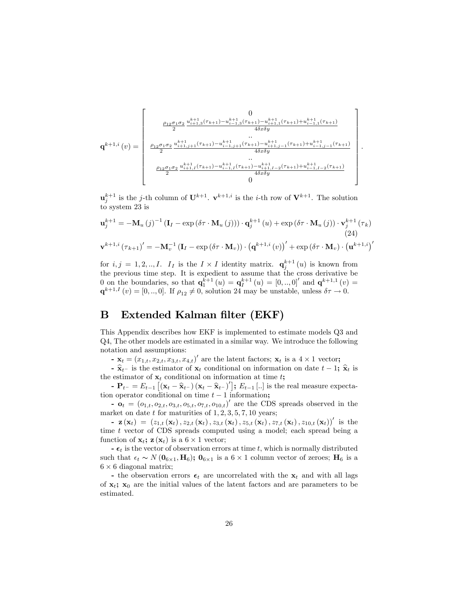$$
\mathbf{q}^{k+1,i}\left(v\right)=\left(\begin{array}{c} 0\\ \frac{\rho_{12}\sigma_{1}\sigma_{2}}{2}\frac{u_{i+1,3}^{k+1}(\tau_{k+1})-u_{i-1,3}^{k+1}(\tau_{k+1})-u_{i+1,1}^{k+1}(\tau_{k+1})+u_{i-1,1}^{k+1}(\tau_{k+1})}{4\delta x\delta y} \\ \vdots\\ \frac{\rho_{12}\sigma_{1}\sigma_{2}}{2}\frac{u_{i+1,j+1}^{k+1}(\tau_{k+1})-u_{i-1,j+1}^{k+1}(\tau_{k+1})-u_{i+1,j-1}^{k+1}(\tau_{k+1})+u_{i-1,j-1}^{k+1}(\tau_{k+1})}{4\delta x\delta y} \\ \vdots\\ \frac{\rho_{12}\sigma_{1}\sigma_{2}}{2}\frac{u_{i+1,1}^{k+1}(\tau_{k+1})-u_{i-1,1}^{k+1}(\tau_{k+1})-u_{i+1,j-2}^{k+1}(\tau_{k+1})+u_{i-1,j-2}^{k+1}(\tau_{k+1})}{4\delta x\delta y} \end{array}\right)
$$

:

 $\mathbf{u}_{j}^{k+1}$  is the j-th column of  $\mathbf{U}^{k+1}$ .  $\mathbf{v}^{k+1,i}$  is the *i*-th row of  $\mathbf{V}^{k+1}$ . The solution to system 23 is

$$
\mathbf{u}_{j}^{k+1} = -\mathbf{M}_{u}(j)^{-1} (\mathbf{I}_{I} - \exp(\delta \tau \cdot \mathbf{M}_{u}(j))) \cdot \mathbf{q}_{j}^{k+1}(u) + \exp(\delta \tau \cdot \mathbf{M}_{u}(j)) \cdot \mathbf{v}_{j}^{k+1}(\tau_{k})
$$
\n(24)\n
$$
\mathbf{v}^{k+1,i} (\tau_{k+1})' = -\mathbf{M}_{v}^{-1} (\mathbf{I}_{I} - \exp(\delta \tau \cdot \mathbf{M}_{v})) \cdot (\mathbf{q}^{k+1,i}(v))' + \exp(\delta \tau \cdot \mathbf{M}_{v}) \cdot (\mathbf{u}^{k+1,i})'
$$

for  $i, j = 1, 2, ..., I$ .  $I_I$  is the  $I \times I$  identity matrix.  $\mathbf{q}_j^{k+1}(u)$  is known from the previous time step. It is expedient to assume that the cross derivative be 0 on the boundaries, so that  $\mathbf{q}_{1}^{k+1}(u) = \mathbf{q}_{I}^{k+1}(u) = [0,..,0]$ ' and  $\mathbf{q}^{k+1,1}(v) =$  $\mathbf{q}^{k+1,I}(v) = [0,..,0].$  If  $\rho_{12} \neq 0$ , solution 24 may be unstable, unless  $\delta \tau \to 0$ .

## B Extended Kalman filter (EKF)

This Appendix describes how EKF is implemented to estimate models Q3 and Q4, The other models are estimated in a similar way. We introduce the following notation and assumptions:

 $\mathbf{x}_t = (x_{1,t}, x_{2,t}, x_{3,t}, x_{4,t})'$  are the latent factors;  $\mathbf{x}_t$  is a  $4 \times 1$  vector;

 $\hat{\mathbf{x}}_{t-}$  is the estimator of  $\mathbf{x}_t$  conditional on information on date  $t-1$ ;  $\hat{\mathbf{x}}_t$  is the estimator of  $x_t$  conditional on information at time  $t$ ;

 $\mathbf{P}_{t-} = E_{t-1} \left[ (\mathbf{x}_t - \hat{\mathbf{x}}_{t-}) (\mathbf{x}_t - \hat{\mathbf{x}}_{t-})' \right]; E_{t-1} \left[ \ldots \right]$  is the real measure expectation operator conditional on time  $t-1$  information;

 $\mathbf{o}_t = (o_{1,t}, o_{2,t}, o_{3,t}, o_{5,t}, o_{7,t}, o_{10,t})'$  are the CDS spreads observed in the market on date t for maturities of  $1, 2, 3, 5, 7, 10$  years;

 $\mathbf{z} = \mathbf{z}(\mathbf{x}_t) = (z_{1,t}(\mathbf{x}_t), z_{2,t}(\mathbf{x}_t), z_{3,t}(\mathbf{x}_t), z_{5,t}(\mathbf{x}_t), z_{7,t}(\mathbf{x}_t), z_{10,t}(\mathbf{x}_t))^T$  is the time t vector of CDS spreads computed using a model; each spread being a function of  $\mathbf{x}_t$ ;  $\mathbf{z}(\mathbf{x}_t)$  is a  $6 \times 1$  vector;

 $-\epsilon_t$  is the vector of observation errors at time t, which is normally distributed such that  $\epsilon_t \sim N(\mathbf{0}_{6\times1}, \mathbf{H}_6)$ ;  $\mathbf{0}_{6\times1}$  is a  $6 \times 1$  column vector of zeroes;  $\mathbf{H}_6$  is a  $6 \times 6$  diagonal matrix;

- the observation errors  $\epsilon_t$  are uncorrelated with the  $x_t$  and with all lags of  $x_t$ ;  $x_0$  are the initial values of the latent factors and are parameters to be estimated.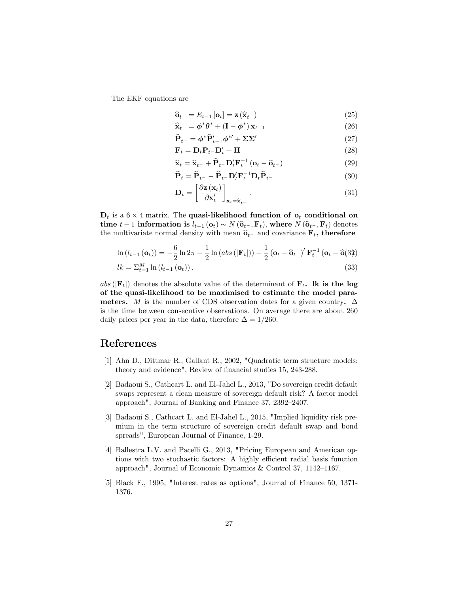The EKF equations are

$$
\widehat{\mathbf{o}}_{t^{-}} = E_{t-1} [\mathbf{o}_t] = \mathbf{z} (\widehat{\mathbf{x}}_{t^{-}})
$$
\n(25)

$$
\widehat{\mathbf{x}}_{t^{-}} = \boldsymbol{\phi}^* \boldsymbol{\theta}^* + (\mathbf{I} - \boldsymbol{\phi}^*) \mathbf{x}_{t-1} \tag{26}
$$

$$
\mathbf{P}_{t^{-}} = \boldsymbol{\phi}^* \mathbf{P}_{t-1}' \boldsymbol{\phi}^{*} + \boldsymbol{\Sigma} \boldsymbol{\Sigma}' \tag{27}
$$

$$
\mathbf{F}_t = \mathbf{D}_t \mathbf{P}_{t-} \mathbf{D}'_t + \mathbf{H} \tag{28}
$$

$$
\widehat{\mathbf{x}}_t = \widehat{\mathbf{x}}_{t-} + \widehat{\mathbf{P}}_t - \mathbf{D}_t' \mathbf{F}_t^{-1} \left( \mathbf{o}_t - \widehat{\mathbf{o}}_{t-} \right)
$$
(29)

$$
\widehat{\mathbf{P}}_t = \widehat{\mathbf{P}}_{t^-} - \widehat{\mathbf{P}}_{t^-} \mathbf{D}_t' \mathbf{F}_t^{-1} \mathbf{D}_t \widehat{\mathbf{P}}_{t^-}
$$
\n(30)

$$
\mathbf{D}_{t} = \left[\frac{\partial \mathbf{z}\left(\mathbf{x}_{t}\right)}{\partial \mathbf{x}_{t}^{\prime}}\right]_{\mathbf{x}_{t} = \widehat{\mathbf{x}}_{t-}}.
$$
\n(31)

 $D_t$  is a 6  $\times$  4 matrix. The quasi-likelihood function of  $o_t$  conditional on time  $t-1$  information is  $l_{t-1} (\mathbf{o}_t) \sim N(\hat{\mathbf{o}}_{t-}, \mathbf{F}_t)$ , where  $N(\hat{\mathbf{o}}_{t-}, \mathbf{F}_t)$  denotes the multivariate normal density with mean  $\hat{\mathbf{o}}_{t-}$  and covariance  $\mathbf{F}_t$ , therefore

$$
\ln(l_{t-1}(\mathbf{o}_t)) = -\frac{6}{2}\ln 2\pi - \frac{1}{2}\ln (abs(|\mathbf{F}_t|)) - \frac{1}{2}(\mathbf{o}_t - \widehat{\mathbf{o}}_{t-})'\mathbf{F}_t^{-1}(\mathbf{o}_t - \widehat{\mathbf{o}}_t^2))
$$
  

$$
lk = \Sigma_{t=1}^M \ln (l_{t-1}(\mathbf{o}_t)).
$$
 (33)

abs ( $|\mathbf{F}_t|$ ) denotes the absolute value of the determinant of  $\mathbf{F}_t$ . Ik is the log of the quasi-likelihood to be maximised to estimate the model para**meters.** M is the number of CDS observation dates for a given country.  $\Delta$ is the time between consecutive observations. On average there are about 260 daily prices per year in the data, therefore  $\Delta = 1/260$ .

## References

- [1] Ahn D., Dittmar R., Gallant R., 2002, "Quadratic term structure models: theory and evidence", Review of financial studies 15, 243-288.
- [2] Badaoui S., Cathcart L. and El-Jahel L., 2013, "Do sovereign credit default swaps represent a clean measure of sovereign default risk? A factor model approach", Journal of Banking and Finance 37, 2392-2407.
- [3] Badaoui S., Cathcart L. and El-Jahel L., 2015, "Implied liquidity risk premium in the term structure of sovereign credit default swap and bond spreads", European Journal of Finance, 1-29.
- [4] Ballestra L.V. and Pacelli G., 2013, "Pricing European and American options with two stochastic factors: A highly efficient radial basis function approach", Journal of Economic Dynamics & Control 37, 1142–1167.
- [5] Black F., 1995, "Interest rates as options", Journal of Finance 50, 1371- 1376.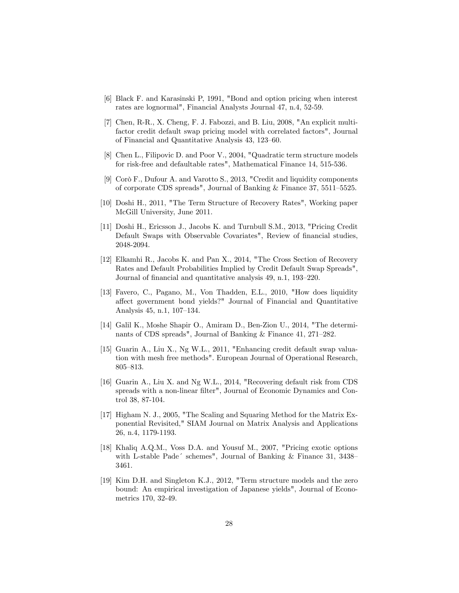- [6] Black F. and Karasinski P, 1991, "Bond and option pricing when interest rates are lognormal", Financial Analysts Journal 47, n.4, 52-59.
- [7] Chen, R-R., X. Cheng, F. J. Fabozzi, and B. Liu, 2008, "An explicit multifactor credit default swap pricing model with correlated factors", Journal of Financial and Quantitative Analysis 43, 123–60.
- [8] Chen L., Filipovic D. and Poor V., 2004, "Quadratic term structure models for risk-free and defaultable rates", Mathematical Finance 14, 515-536.
- [9] Corò F., Dufour A. and Varotto S., 2013, "Credit and liquidity components of corporate CDS spreads", Journal of Banking  $\&$  Finance 37, 5511–5525.
- [10] Doshi H., 2011, "The Term Structure of Recovery Rates", Working paper McGill University, June 2011.
- [11] Doshi H., Ericsson J., Jacobs K. and Turnbull S.M., 2013, "Pricing Credit Default Swaps with Observable Covariates", Review of financial studies, 2048-2094.
- [12] Elkamhi R., Jacobs K. and Pan X., 2014, "The Cross Section of Recovery Rates and Default Probabilities Implied by Credit Default Swap Spreads", Journal of financial and quantitative analysis 49, n.1, 193–220.
- [13] Favero, C., Pagano, M., Von Thadden, E.L., 2010, "How does liquidity a§ect government bond yields?" Journal of Financial and Quantitative Analysis 45, n.1, 107-134.
- [14] Galil K., Moshe Shapir O., Amiram D., Ben-Zion U., 2014, "The determinants of CDS spreads", Journal of Banking  $\&$  Finance 41, 271–282.
- [15] Guarin A., Liu X., Ng W.L., 2011, "Enhancing credit default swap valuation with mesh free methods". European Journal of Operational Research,  $805 - 813.$
- [16] Guarin A., Liu X. and Ng W.L., 2014, "Recovering default risk from CDS spreads with a non-linear filter", Journal of Economic Dynamics and Control 38, 87-104.
- [17] Higham N. J., 2005, "The Scaling and Squaring Method for the Matrix Exponential Revisited," SIAM Journal on Matrix Analysis and Applications 26, n.4, 1179-1193.
- [18] Khaliq A.Q.M., Voss D.A. and Yousuf M., 2007, "Pricing exotic options with L-stable Pade $\checkmark$  schemes", Journal of Banking & Finance 31, 3438 $\checkmark$ 3461.
- [19] Kim D.H. and Singleton K.J., 2012, "Term structure models and the zero bound: An empirical investigation of Japanese yields", Journal of Econometrics 170, 32-49.